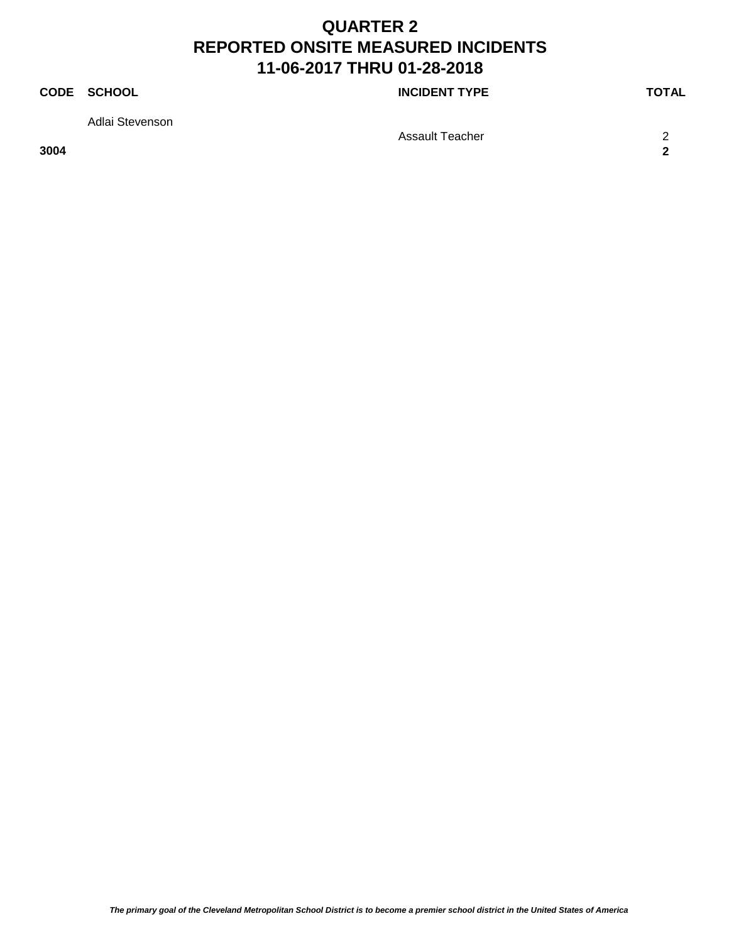### **CODE SCHOOL CODE SCHOOL**

Adlai Stevenson

Assault Teacher 2012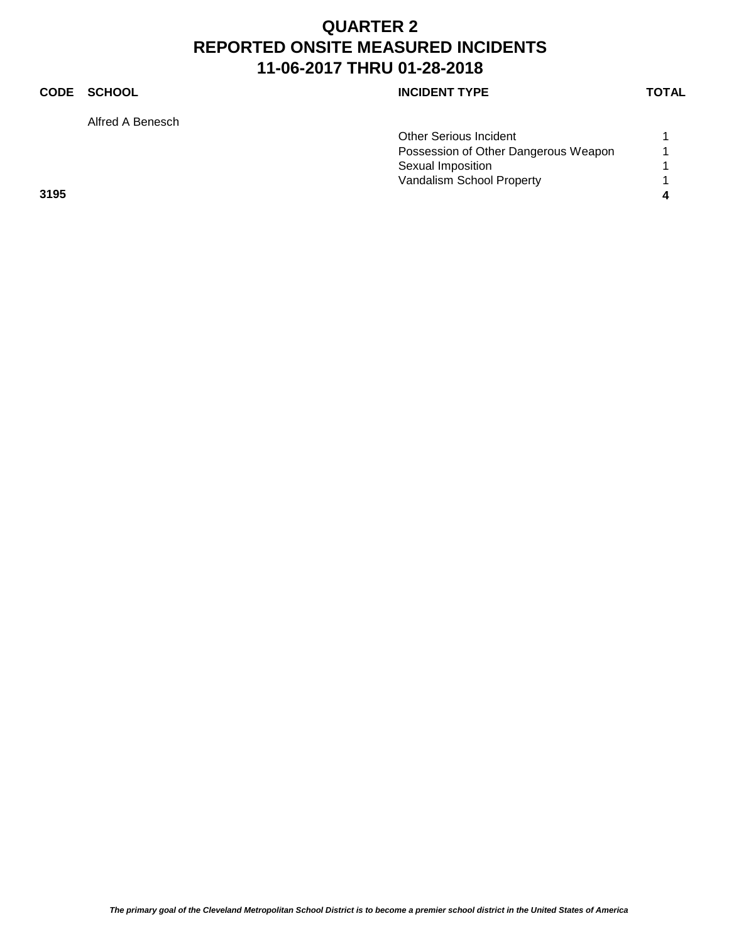### **CODE SCHOOL CODE SCHOOL**

Alfred A Benesch

|      | <b>Other Serious Incident</b>        |  |
|------|--------------------------------------|--|
|      | Possession of Other Dangerous Weapon |  |
|      | Sexual Imposition                    |  |
|      | Vandalism School Property            |  |
| 3195 |                                      |  |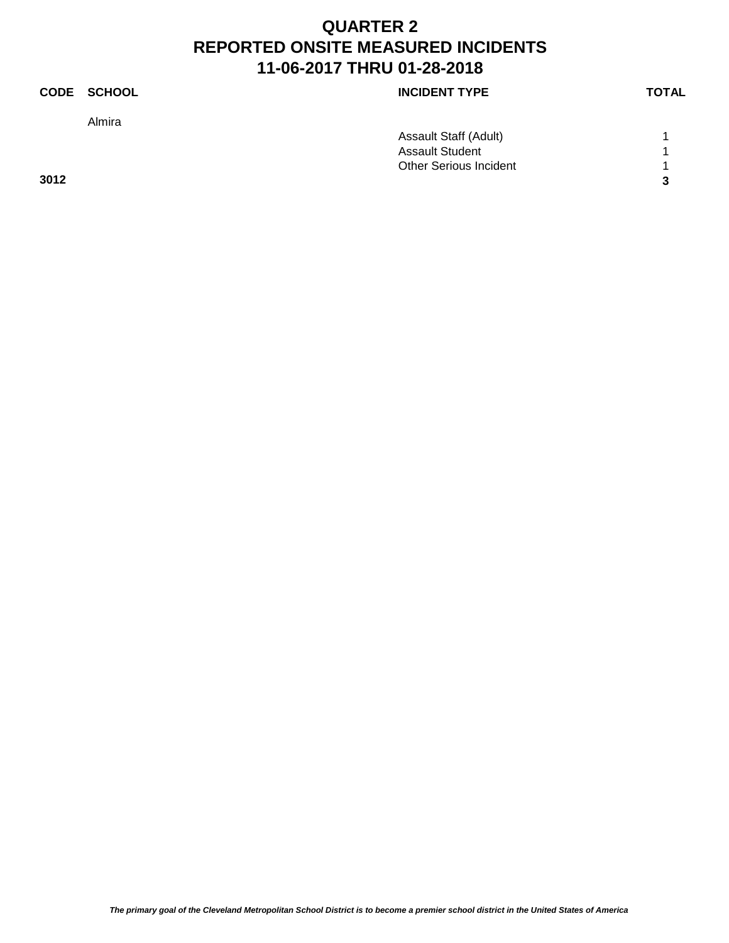|      | CODE SCHOOL | <b>INCIDENT TYPE</b>          | <b>TOTAL</b> |
|------|-------------|-------------------------------|--------------|
|      | Almira      |                               |              |
|      |             | Assault Staff (Adult)         |              |
|      |             | <b>Assault Student</b>        | 1            |
|      |             | <b>Other Serious Incident</b> | л            |
| 3012 |             |                               | 3            |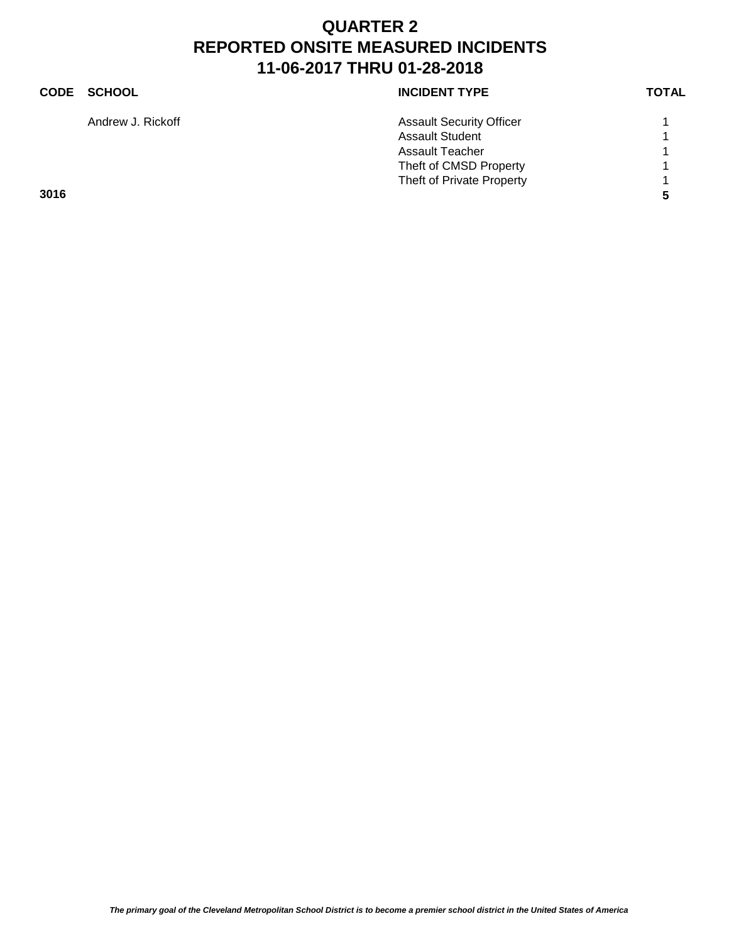### **CODE SCHOOL CODE SCHOOL** Andrew J. Rickoff **Assault Security Officer** 1 Assault Student 1 1 Assault Teacher 1 1 Theft of CMSD Property 1 Theft of Private Property 1 **3016 5**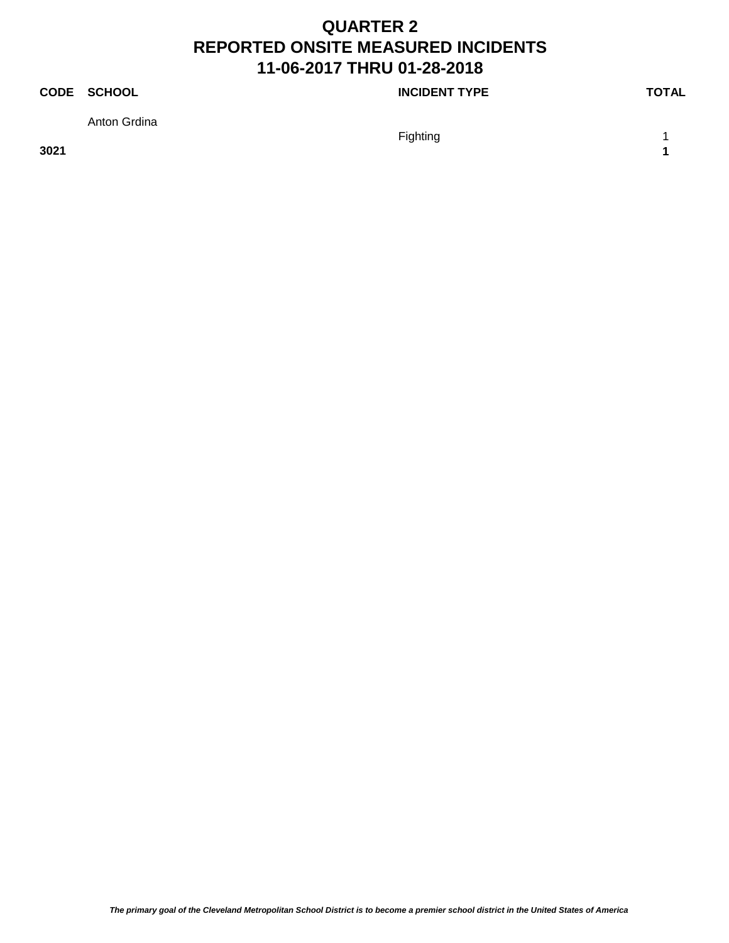### **CODE SCHOOL CODE SCHOOL**

Anton Grdina

Fighting 1 and 1 and 1 and 1 and 1 and 1 and 1 and 1 and 1 and 1 and 1 and 1 and 1 and 1 and 1 and 1 and 1 and 1 and 1 and 1 and 1 and 1 and 1 and 1 and 1 and 1 and 1 and 1 and 1 and 1 and 1 and 1 and 1 and 1 and 1 and 1 a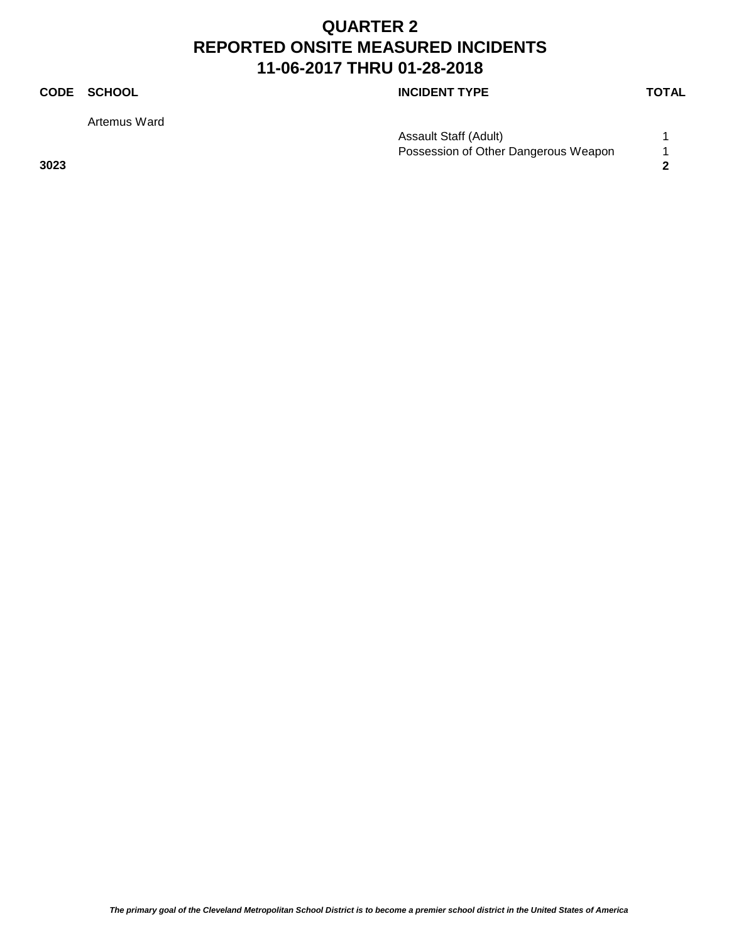Artemus Ward

**CODE SCHOOL CODE SCHOOL** 

Assault Staff (Adult) 1 Possession of Other Dangerous Weapon 1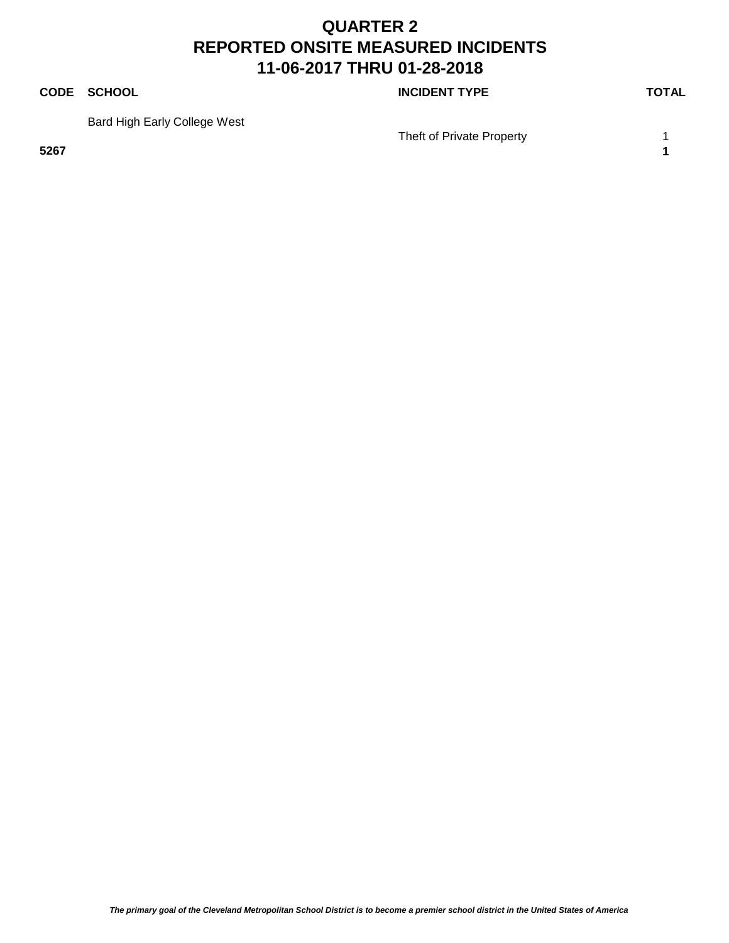### **CODE SCHOOL CODE SCHOOL**

Bard High Early College West

Theft of Private Property 1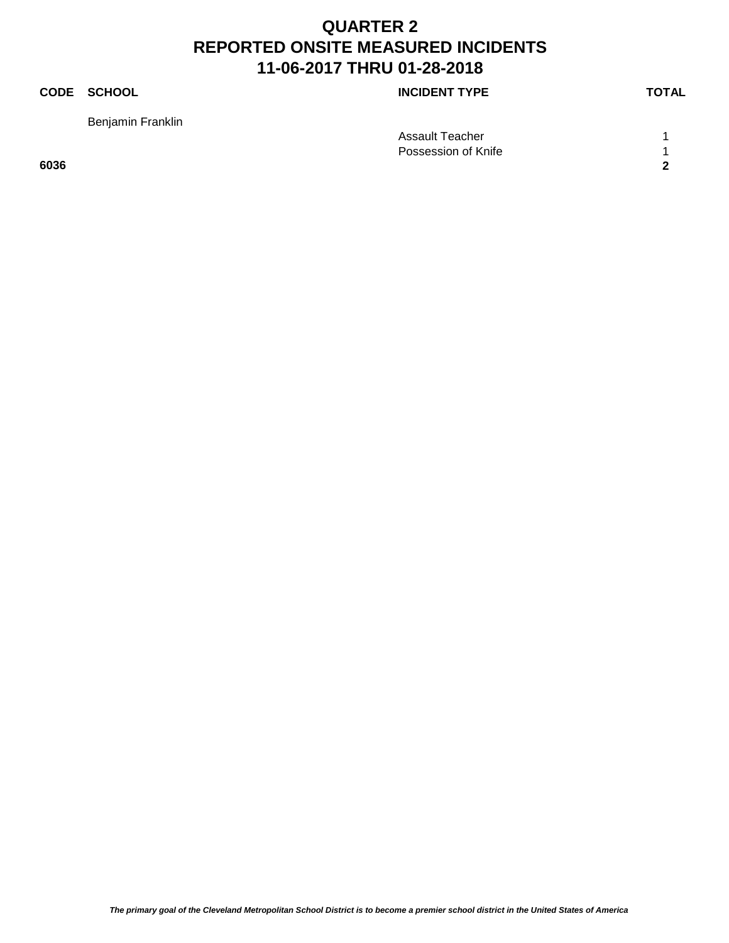Benjamin Franklin

**CODE SCHOOL CODE SCHOOL** 

Assault Teacher 1 1 Possession of Knife 1 **6036 2**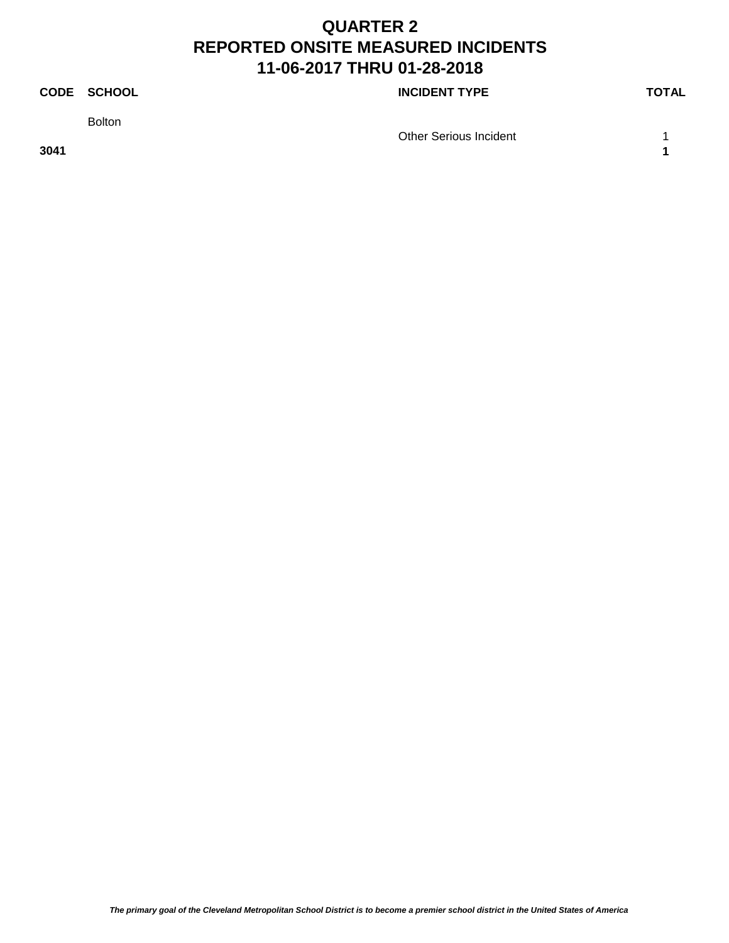Bolton

**CODE SCHOOL CODE SCHOOL** 

Other Serious Incident 1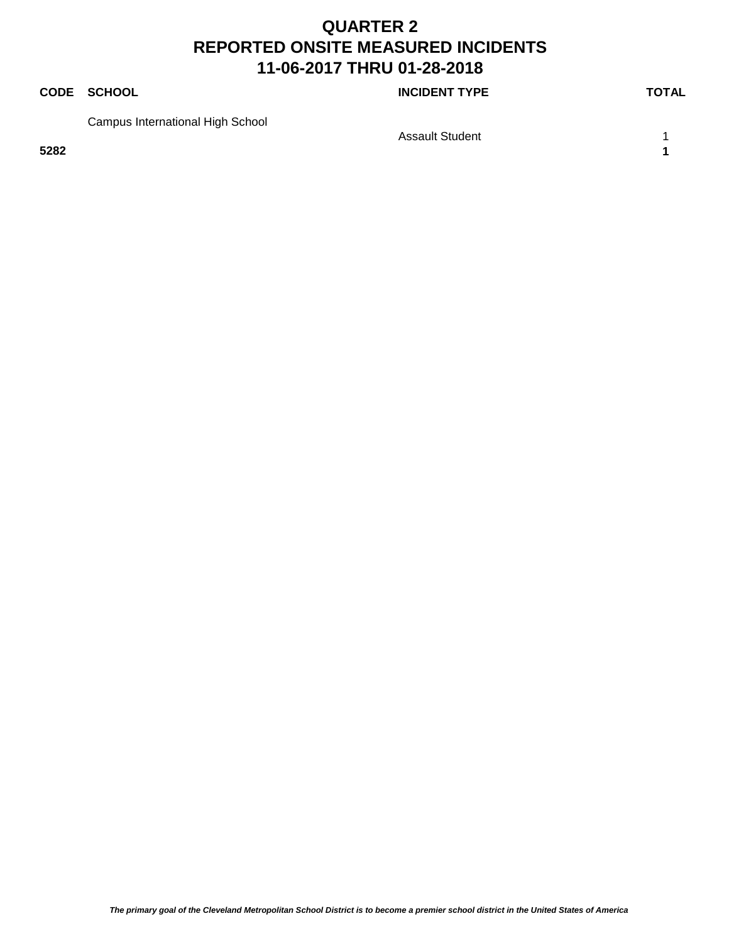### **CODE SCHOOL CODE SCHOOL**

Campus International High School

Assault Student 1 1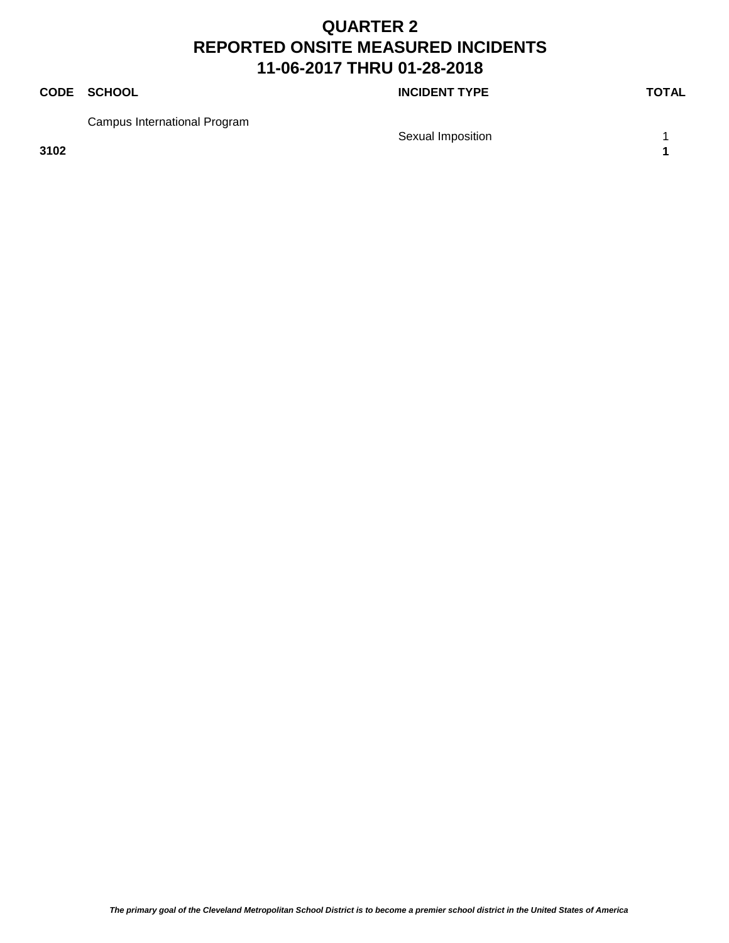### **CODE SCHOOL CODE SCHOOL**

Campus International Program

Sexual Imposition 1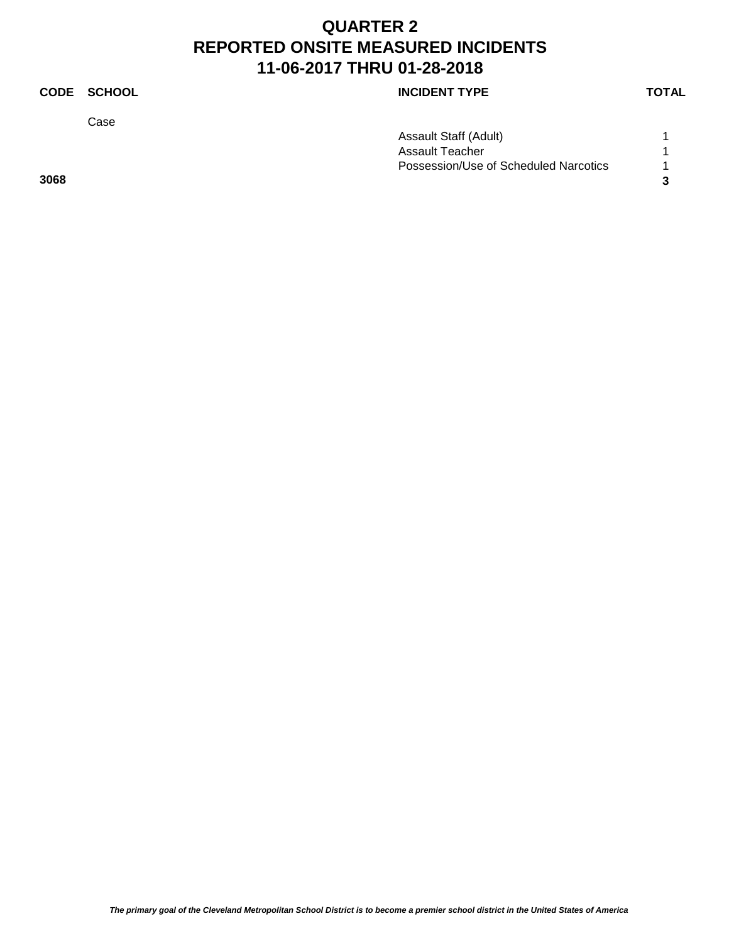Case

### **CODE SCHOOL CODE SCHOOL**

| Assault Staff (Adult)                 |  |
|---------------------------------------|--|
| Assault Teacher                       |  |
| Possession/Use of Scheduled Narcotics |  |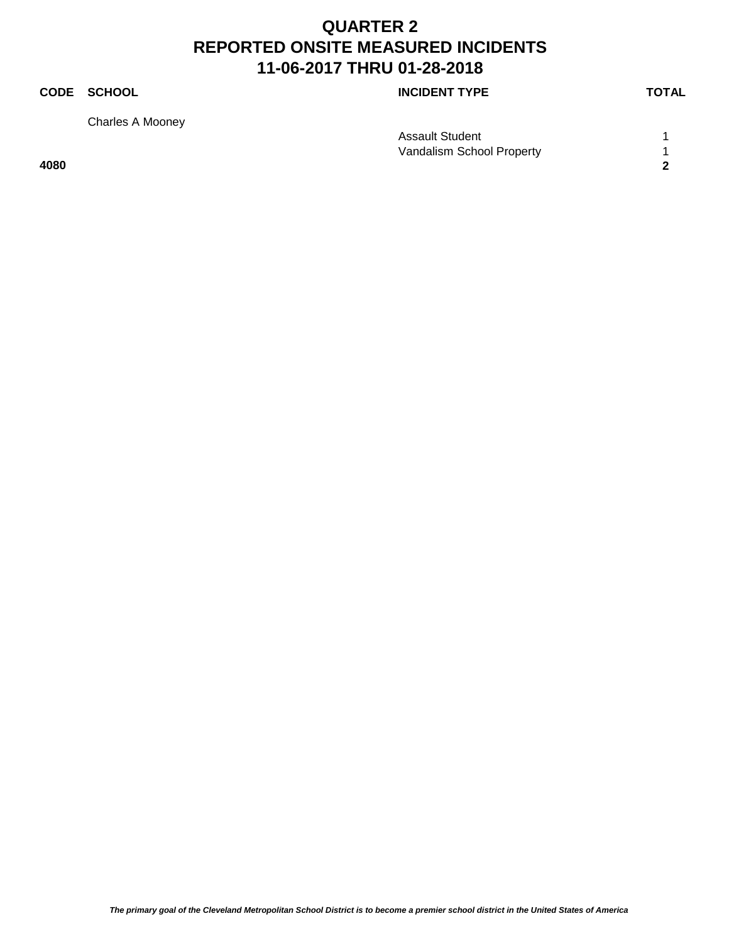Charles A Mooney

**CODE SCHOOL CODE SCHOOL** 

|      | Assault Student           |  |
|------|---------------------------|--|
|      | Vandalism School Property |  |
| 4080 |                           |  |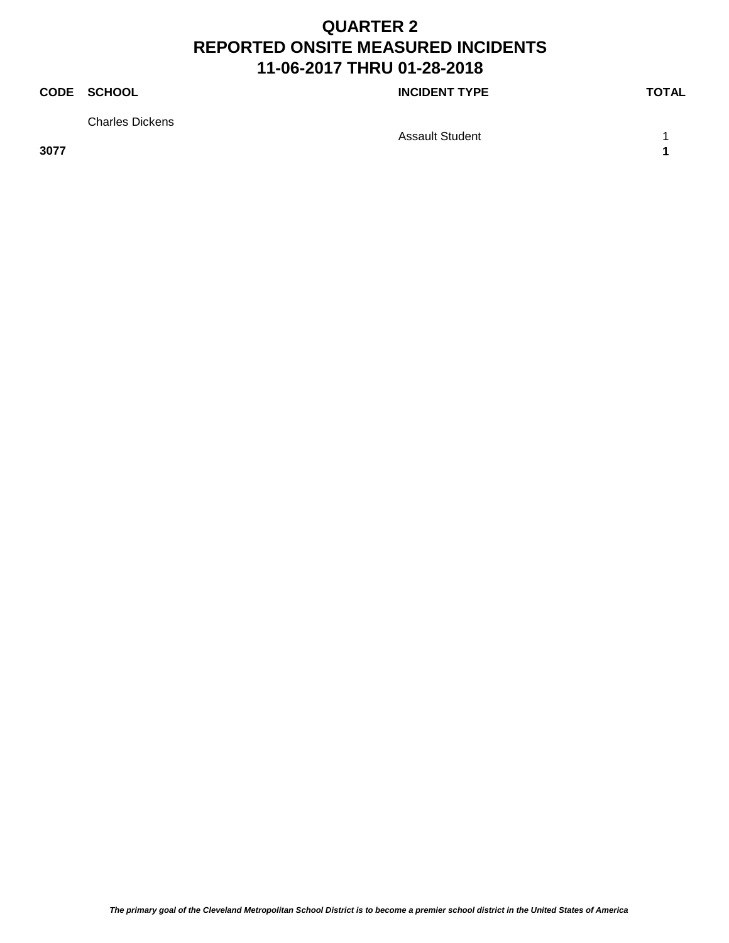### **CODE SCHOOL CODE SCHOOL**

Charles Dickens

Assault Student 1 1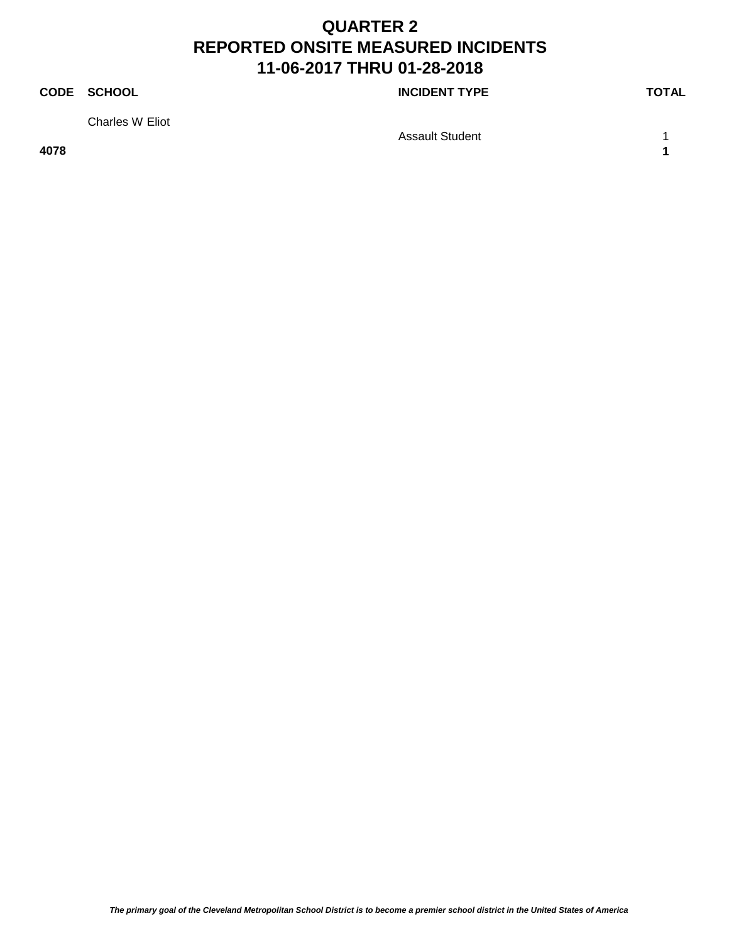### **CODE SCHOOL CODE SCHOOL**

Charles W Eliot

Assault Student 1 1 **4078 1**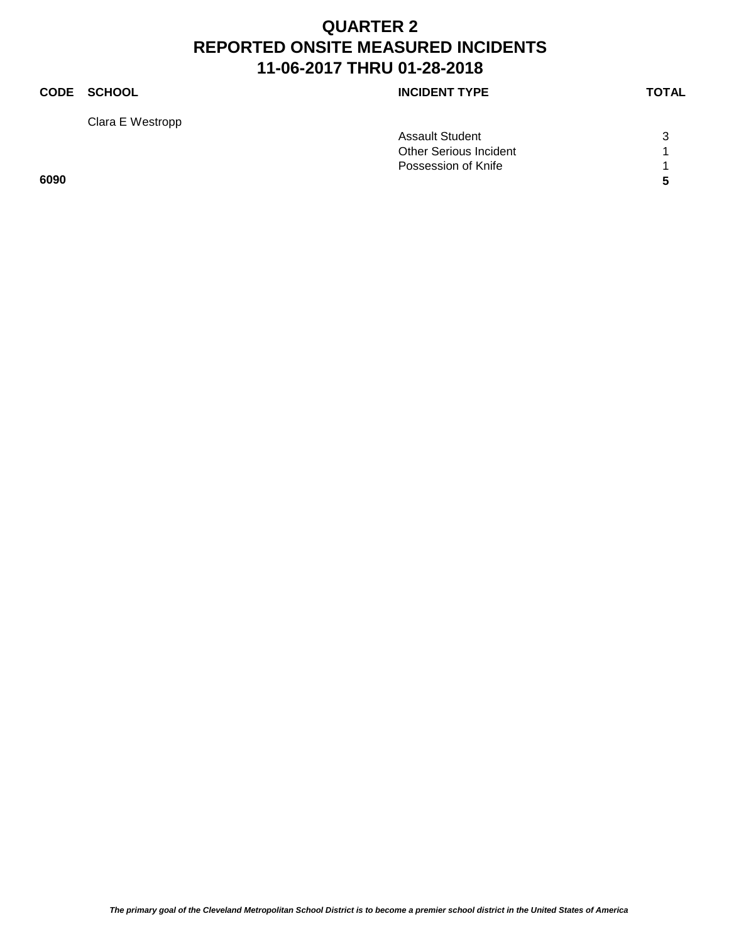Clara E Westropp

### **CODE SCHOOL CODE SCHOOL**

|      | <b>Assault Student</b>        | 3  |
|------|-------------------------------|----|
|      | <b>Other Serious Incident</b> |    |
|      | Possession of Knife           |    |
| 6090 |                               | -5 |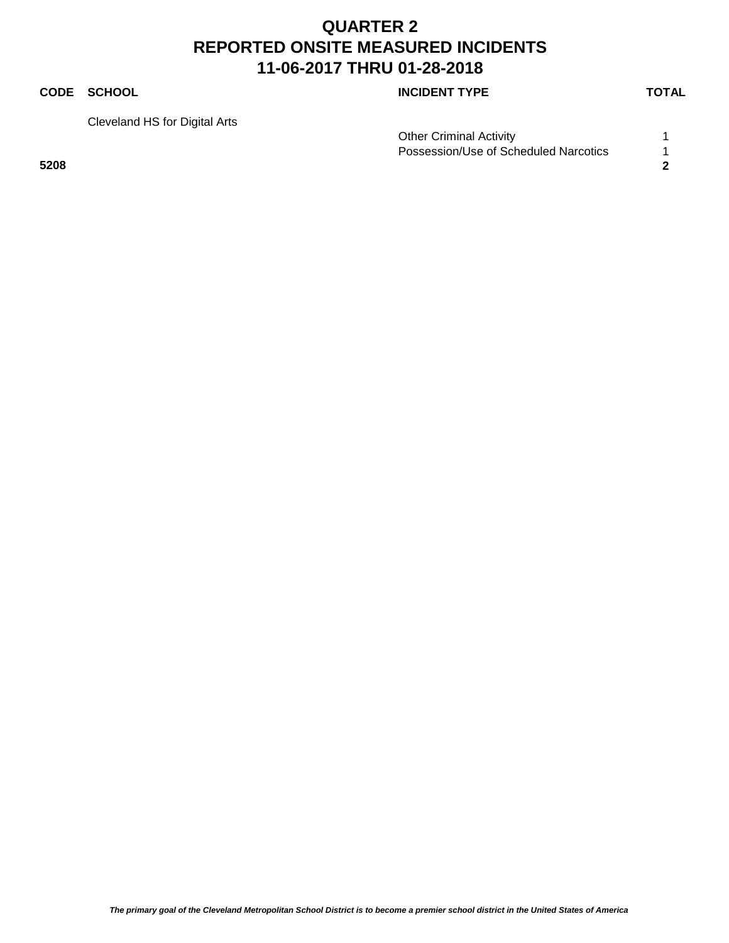### **CODE SCHOOL CODE SCHOOL**

Cleveland HS for Digital Arts

Other Criminal Activity 1 Possession/Use of Scheduled Narcotics 1 **5208 2**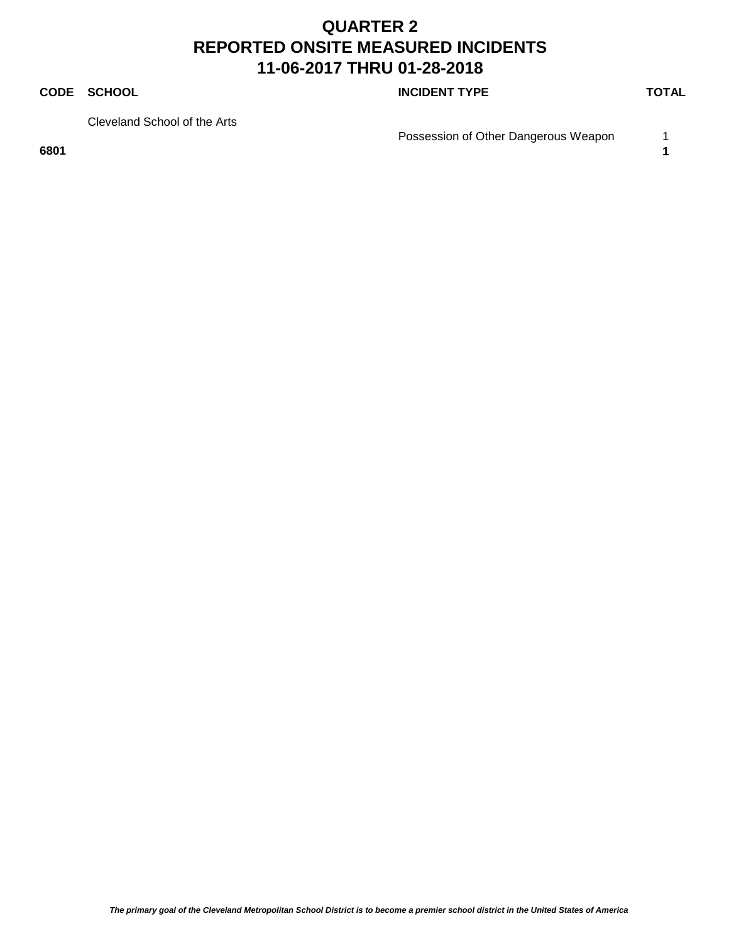### **CODE SCHOOL CODE SCHOOL**

Cleveland School of the Arts

Possession of Other Dangerous Weapon 1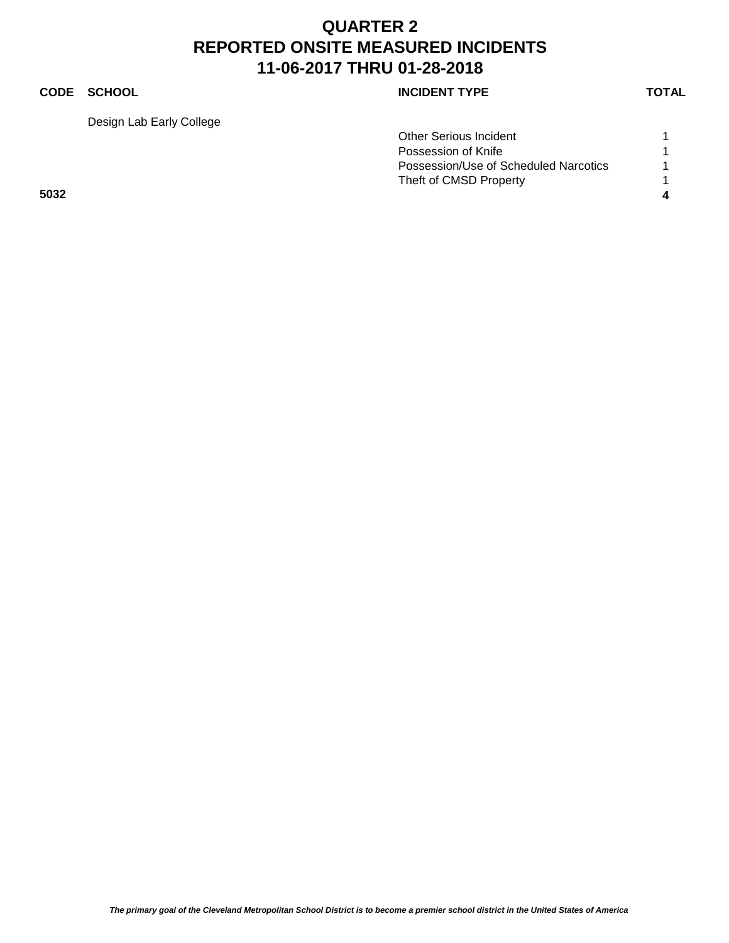### **CODE SCHOOL CODE SCHOOL**

Design Lab Early College

|      | <b>Other Serious Incident</b>         |  |
|------|---------------------------------------|--|
|      | Possession of Knife                   |  |
|      | Possession/Use of Scheduled Narcotics |  |
|      | Theft of CMSD Property                |  |
| 5032 |                                       |  |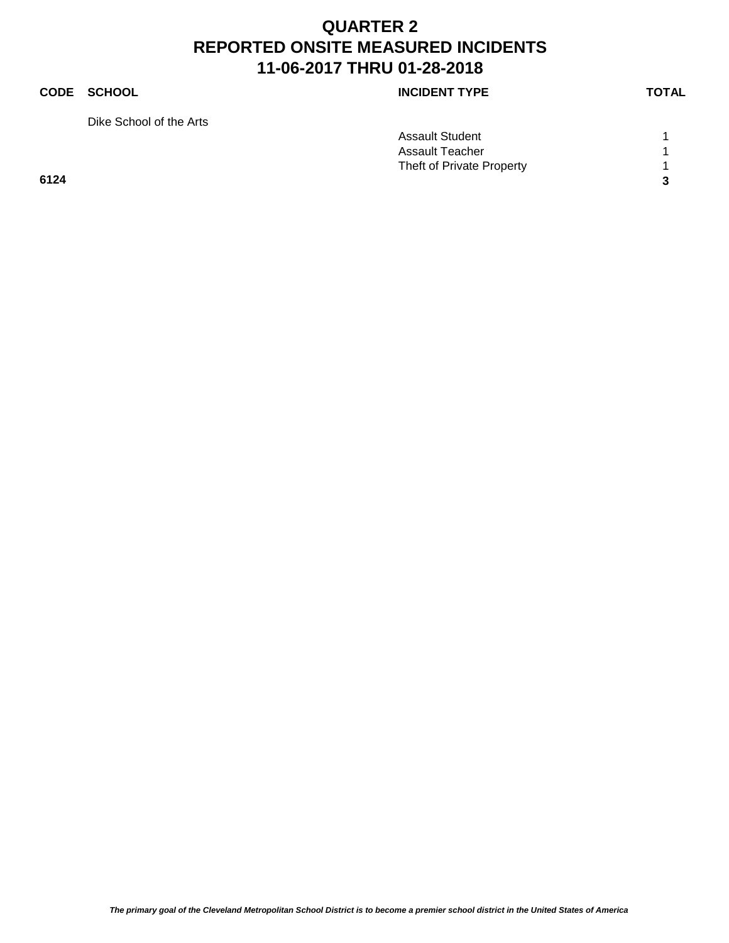### **CODE SCHOOL CODE SCHOOL**

Dike School of the Arts

| <b>INCIDENT TYPE</b> |  |
|----------------------|--|
|----------------------|--|

|      | <b>Assault Student</b>    |   |
|------|---------------------------|---|
|      | Assault Teacher           |   |
|      | Theft of Private Property |   |
| 6124 |                           | ົ |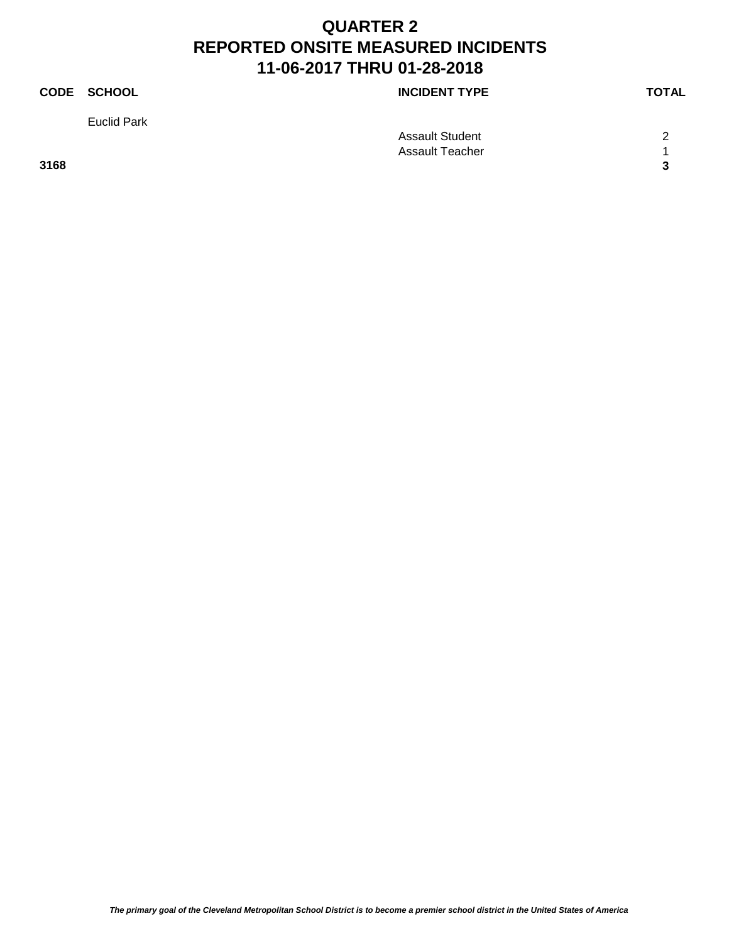# **CODE SCHOOL CODE SCHOOL** Euclid Park

Assault Student 2 Assault Teacher 1 1 **3168 3**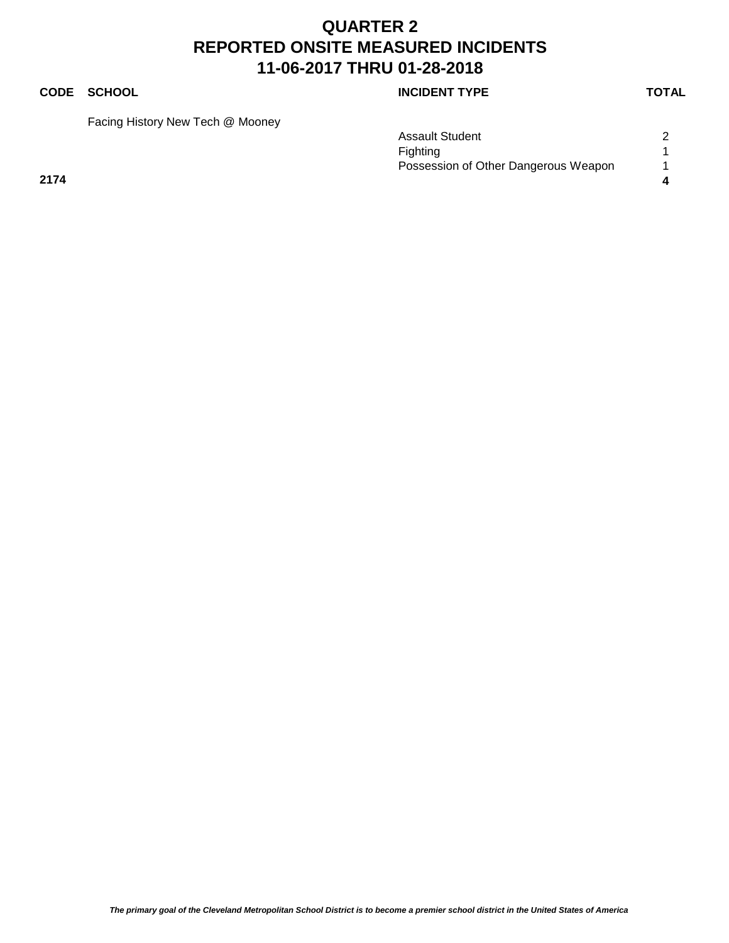### **CODE SCHOOL CODE SCHOOL**

Facing History New Tech @ Mooney

|      | <b>Assault Student</b>               |  |
|------|--------------------------------------|--|
|      | Fighting                             |  |
|      | Possession of Other Dangerous Weapon |  |
| 2174 |                                      |  |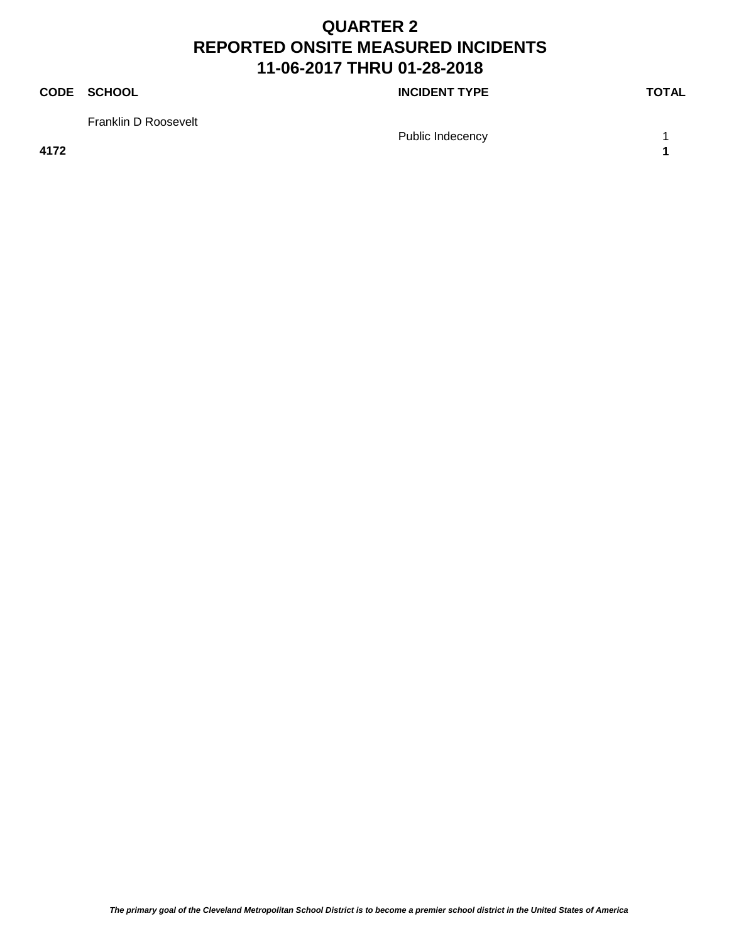### **CODE SCHOOL CODE SCHOOL**

Franklin D Roosevelt

Public Indecency 1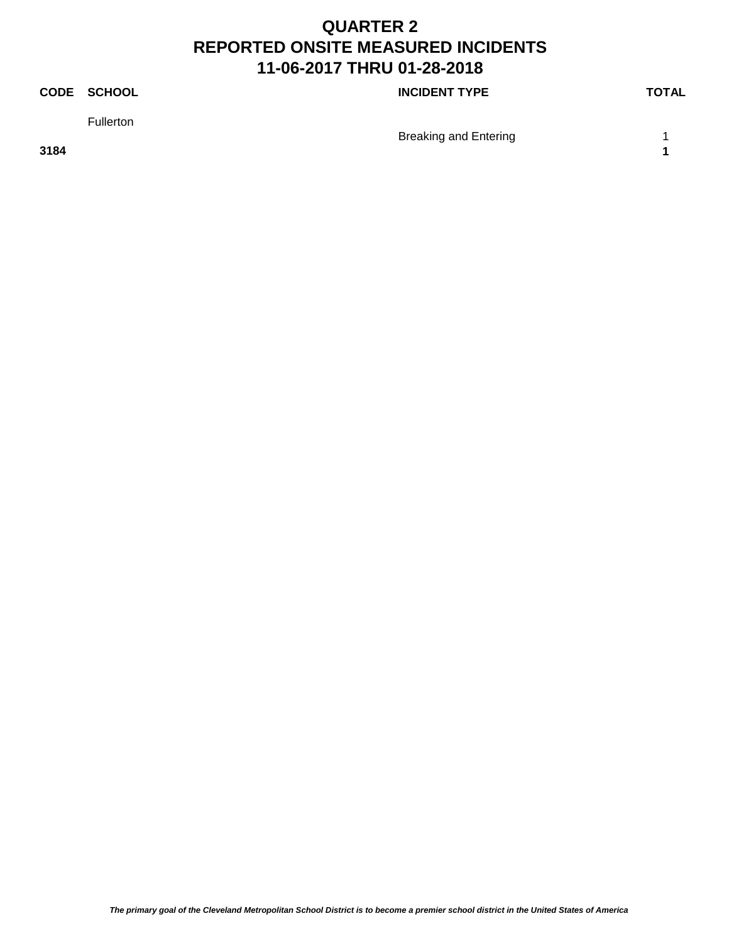### **CODE SCHOOL CODE SCHOOL**

Fullerton

Breaking and Entering 1

**3184 1**

*The primary goal of the Cleveland Metropolitan School District is to become a premier school district in the United States of America*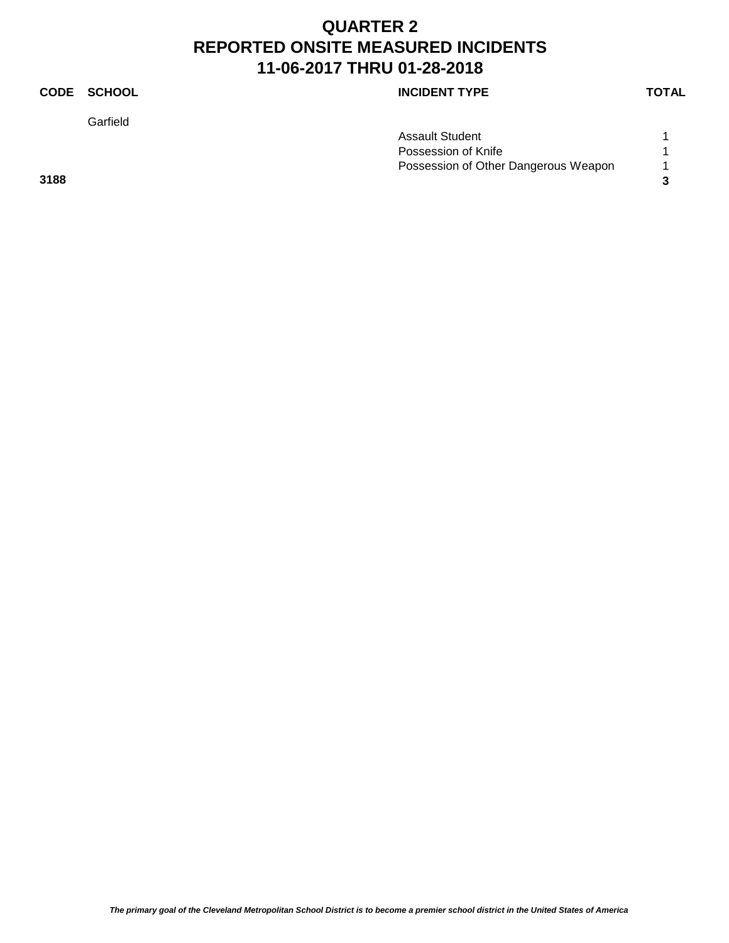Garfield

### **CODE SCHOOL CODE SCHOOL**

| Assault Student                      |   |
|--------------------------------------|---|
| Possession of Knife                  |   |
| Possession of Other Dangerous Weapon | 1 |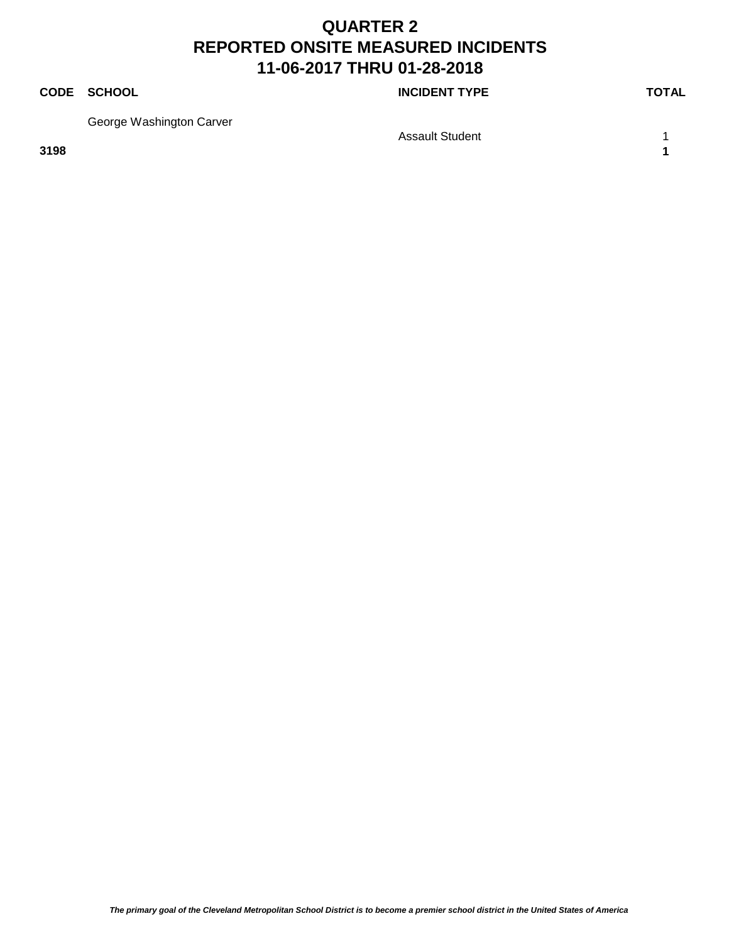### **CODE SCHOOL CODE SCHOOL**

George Washington Carver

Assault Student 1 1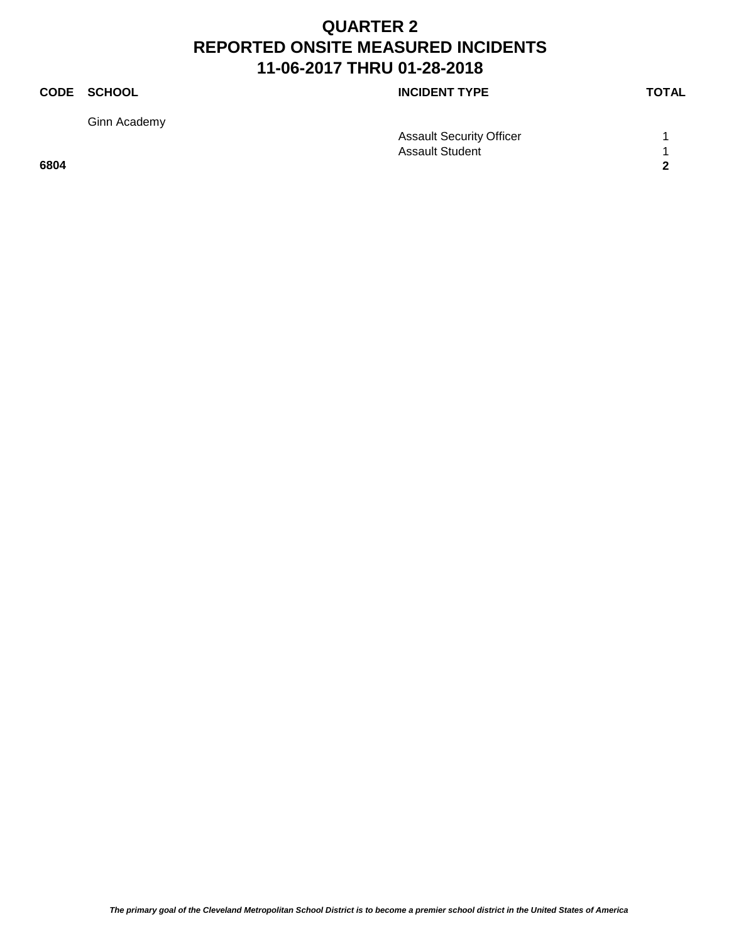Ginn Academy

**CODE SCHOOL CODE SCHOOL** 

|      | <b>Assault Security Officer</b> |                      |
|------|---------------------------------|----------------------|
|      | <b>Assault Student</b>          |                      |
| 6804 |                                 | $\ddot{\phantom{0}}$ |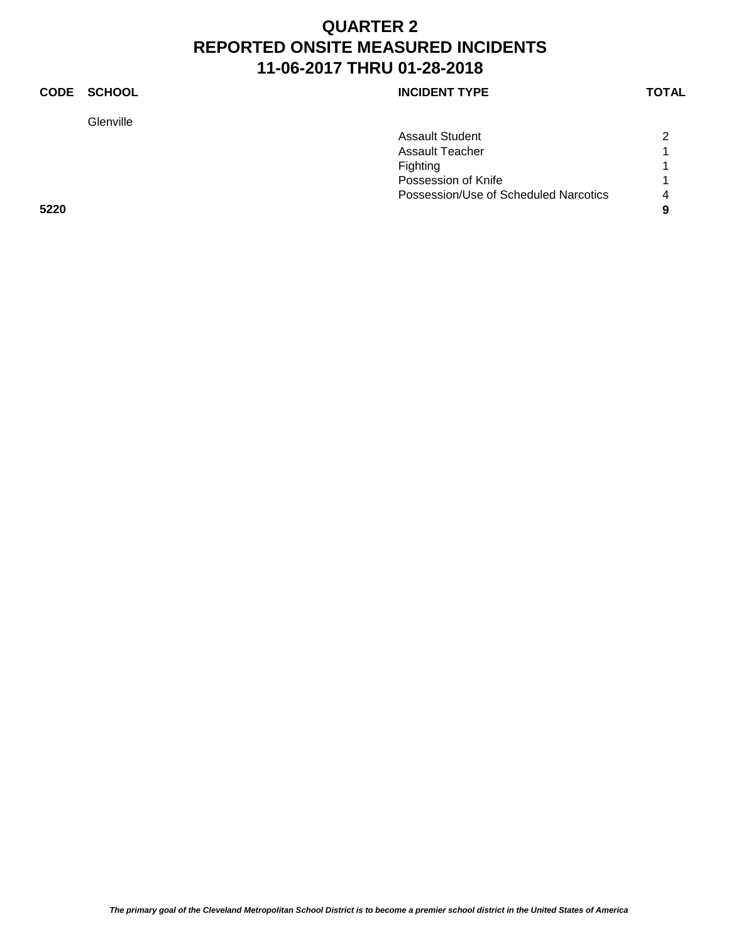**Glenville** 

### **CODE SCHOOL CODE SCHOOL**

|      | <b>Assault Student</b>                | $\overline{2}$         |
|------|---------------------------------------|------------------------|
|      | <b>Assault Teacher</b>                |                        |
|      | <b>Fighting</b>                       |                        |
|      | Possession of Knife                   |                        |
|      | Possession/Use of Scheduled Narcotics | $\boldsymbol{\Lambda}$ |
| 5220 |                                       | 9                      |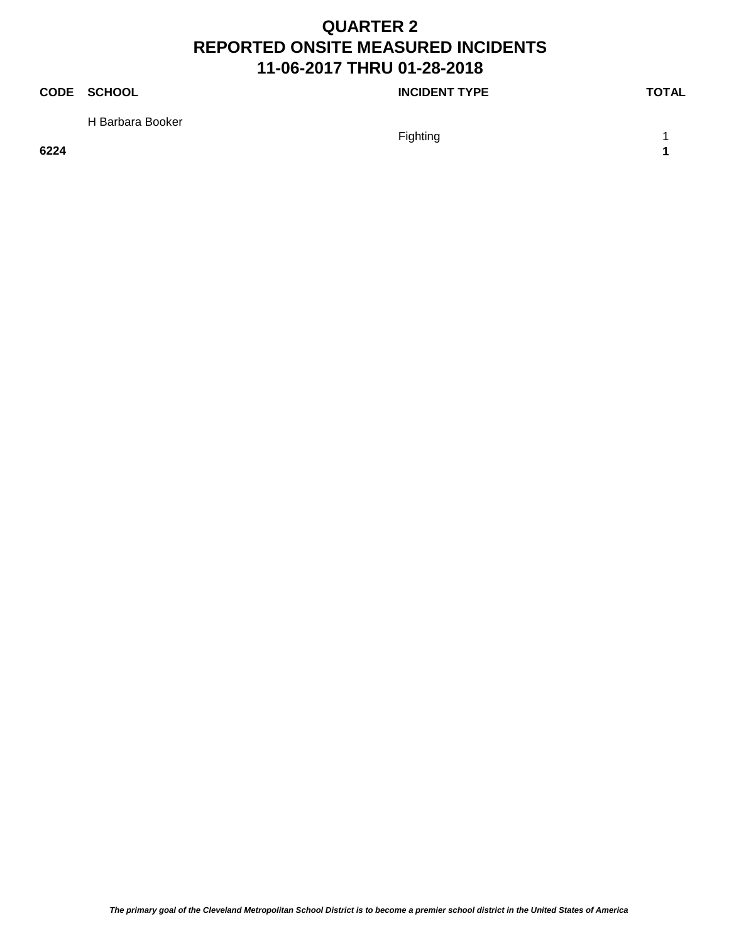### **CODE SCHOOL CODE SCHOOL**

H Barbara Booker

Fighting 1 and 1 and 1 and 1 and 1 and 1 and 1 and 1 and 1 and 1 and 1 and 1 and 1 and 1 and 1 and 1 and 1 and 1 and 1 and 1 and 1 and 1 and 1 and 1 and 1 and 1 and 1 and 1 and 1 and 1 and 1 and 1 and 1 and 1 and 1 and 1 a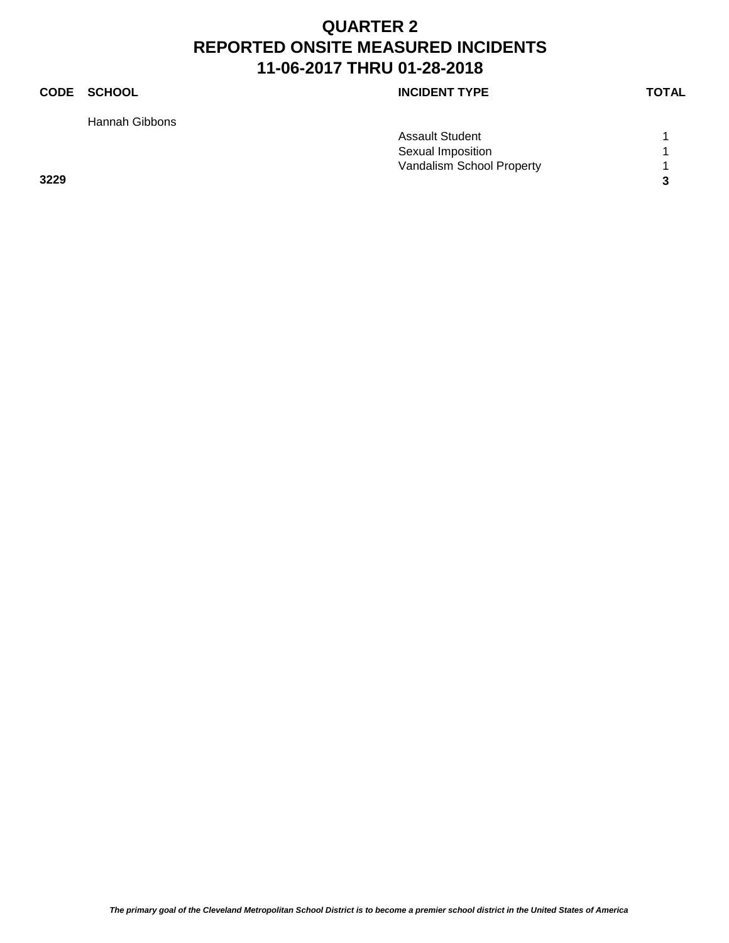Hannah Gibbons

### **CODE SCHOOL CODE SCHOOL**

|      | <b>Assault Student</b>    |  |
|------|---------------------------|--|
|      | Sexual Imposition         |  |
|      | Vandalism School Property |  |
| 3229 |                           |  |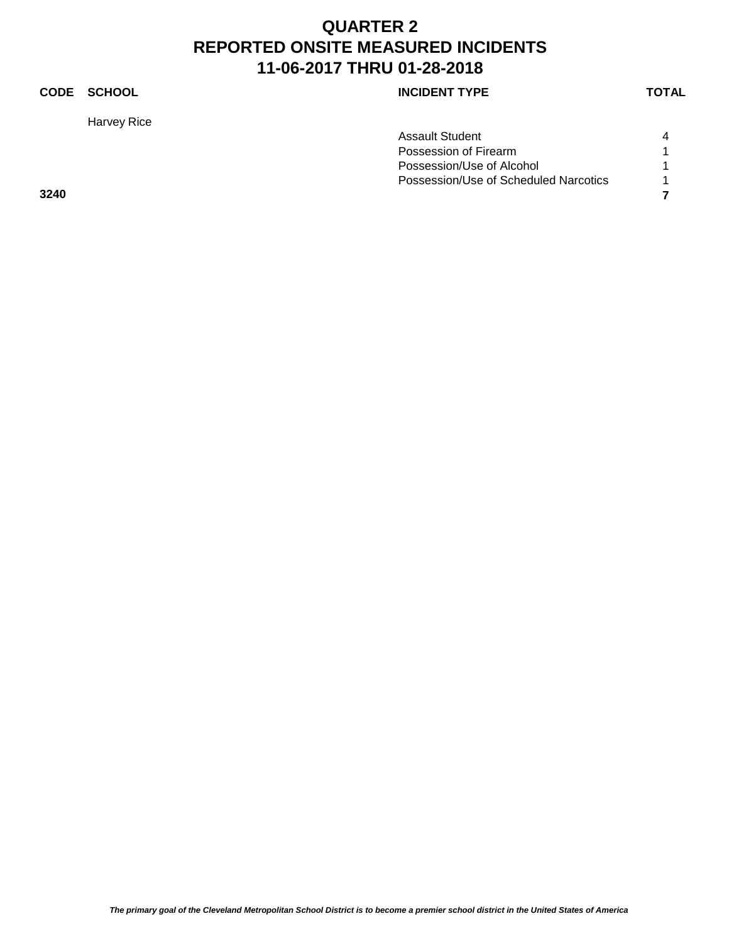Harvey Rice

### **CODE SCHOOL CODE SCHOOL**

| Assault Student                       |   |
|---------------------------------------|---|
| Possession of Firearm                 |   |
| Possession/Use of Alcohol             |   |
| Possession/Use of Scheduled Narcotics | 1 |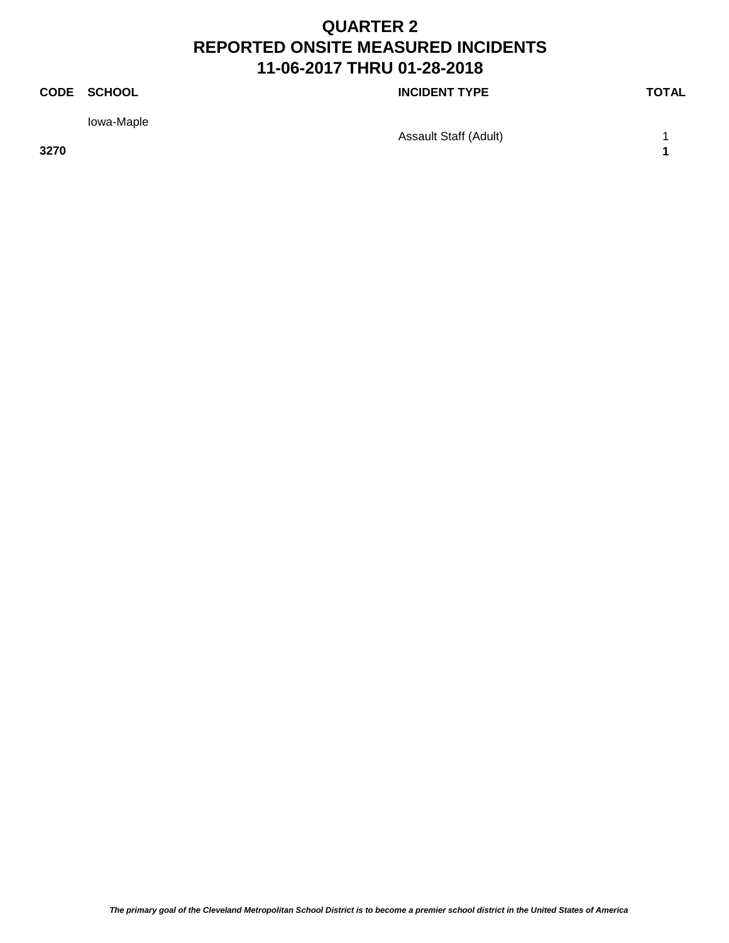### **CODE SCHOOL CODE SCHOOL**

Iowa-Maple

Assault Staff (Adult) 1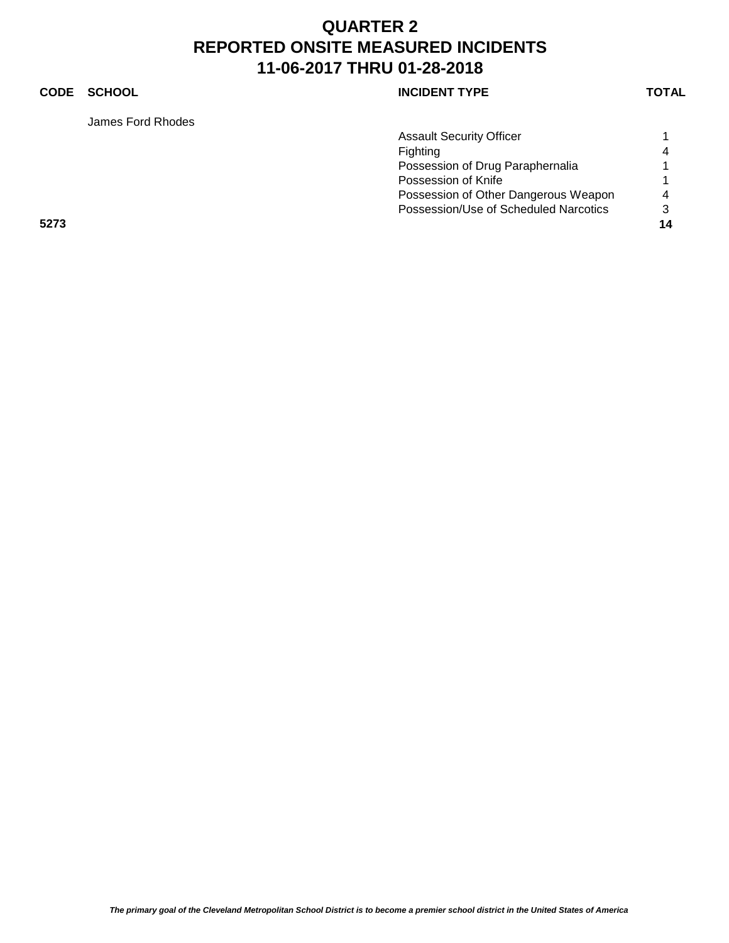### **CODE SCHOOL CODE SCHOOL**

James Ford Rhodes

| <b>INCIDENT TYPE</b> |  |
|----------------------|--|
|----------------------|--|

|      | <b>Assault Security Officer</b>       |                |
|------|---------------------------------------|----------------|
|      | Fighting                              | $\overline{4}$ |
|      | Possession of Drug Paraphernalia      |                |
|      | Possession of Knife                   |                |
|      | Possession of Other Dangerous Weapon  | $\overline{4}$ |
|      | Possession/Use of Scheduled Narcotics | $\mathcal{S}$  |
| 5273 |                                       | 14             |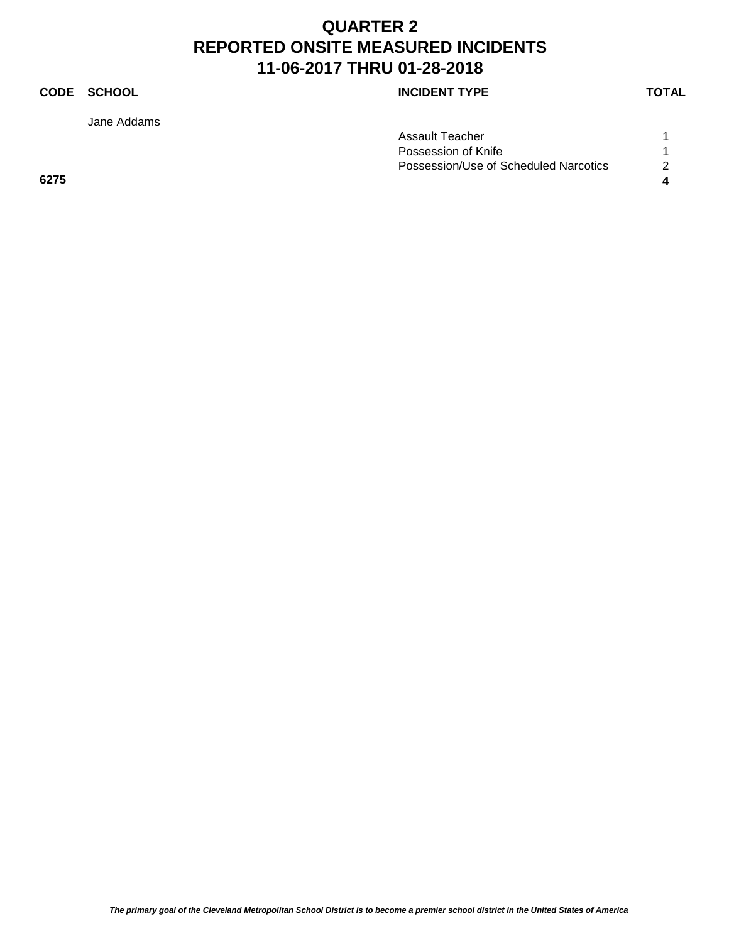Jane Addams

### **CODE SCHOOL CODE SCHOOL**

| Assault Teacher                       |  |
|---------------------------------------|--|
| Possession of Knife                   |  |
| Possession/Use of Scheduled Narcotics |  |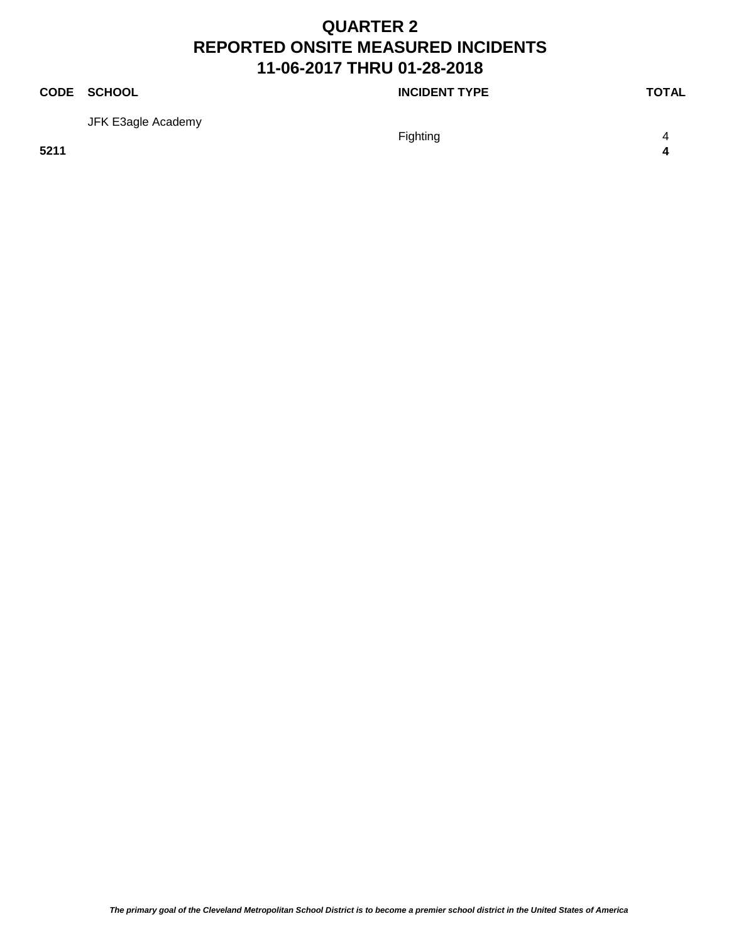### **CODE SCHOOL CODE SCHOOL** JFK E3agle Academy Fighting 4 **5211 4**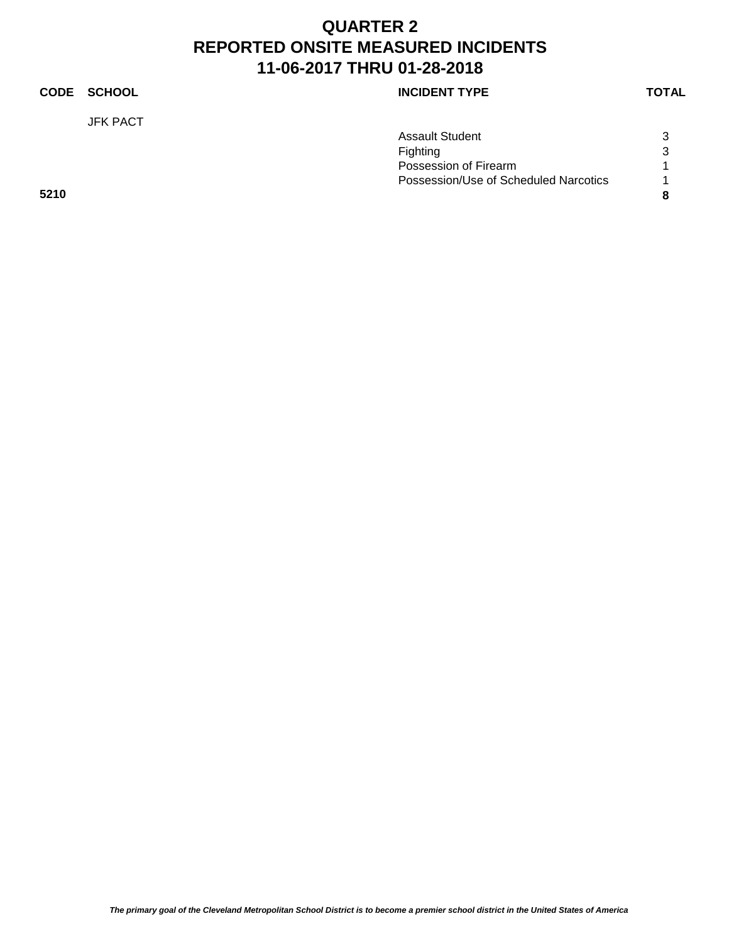### **CODE SCHOOL CODE SCHOOL** JFK PACT Assault Student 3 Fighting 3 Possession of Firearm 1 Possession/Use of Scheduled Narcotics 1 **5210 8**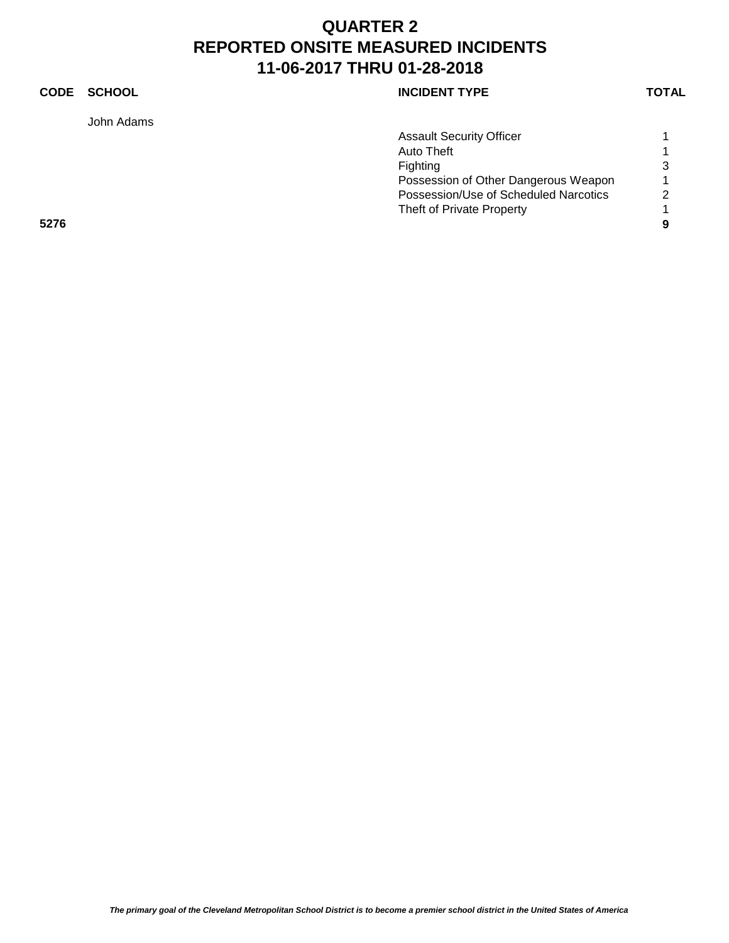John Adams

|  | <b>CODE</b> | SCHOOL | <b>INCIDENT TYPE</b> | <b>TOTAL</b> |
|--|-------------|--------|----------------------|--------------|
|--|-------------|--------|----------------------|--------------|

|      | <b>Assault Security Officer</b>       |   |
|------|---------------------------------------|---|
|      | Auto Theft                            |   |
|      | Fighting                              | 3 |
|      | Possession of Other Dangerous Weapon  | 1 |
|      | Possession/Use of Scheduled Narcotics | 2 |
|      | Theft of Private Property             |   |
| 5276 |                                       | 9 |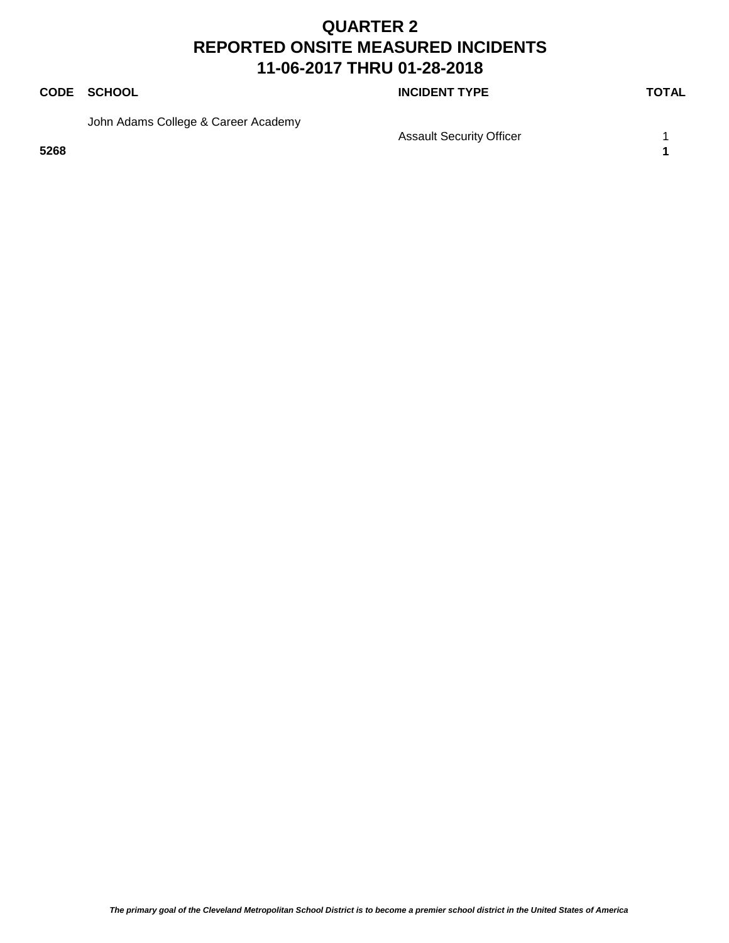### **CODE SCHOOL CODE SCHOOL**

John Adams College & Career Academy

**5268 1**

Assault Security Officer 1 1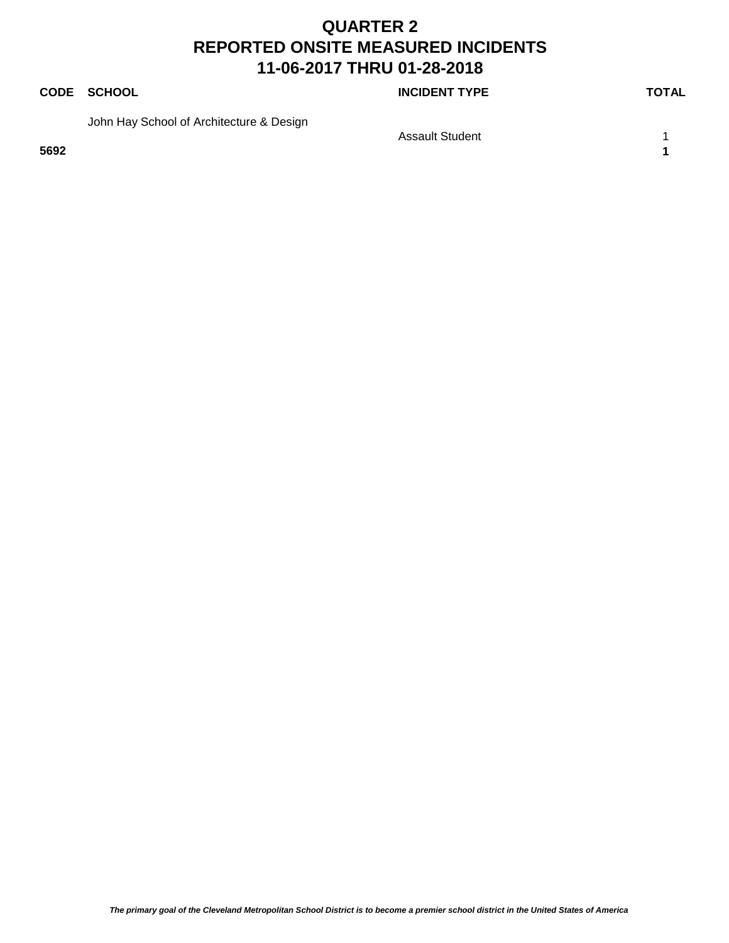**CODE SCHOOL CODE SCHOOL** 

John Hay School of Architecture & Design

**5692 1**

Assault Student 1 1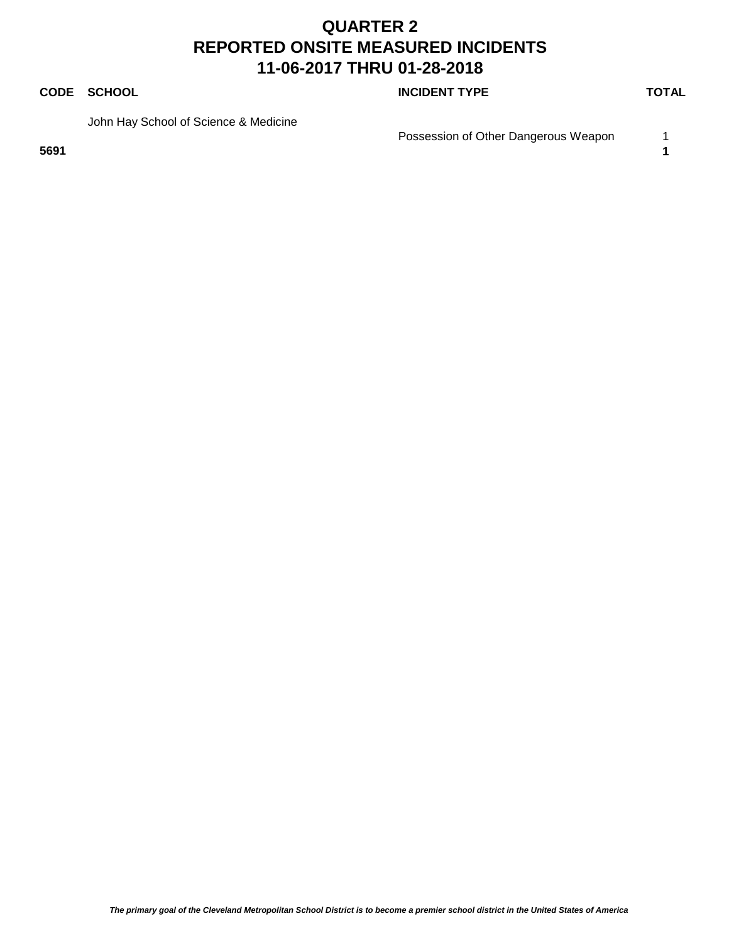### **CODE SCHOOL CODE SCHOOL**

John Hay School of Science & Medicine

**5691 1**

Possession of Other Dangerous Weapon 1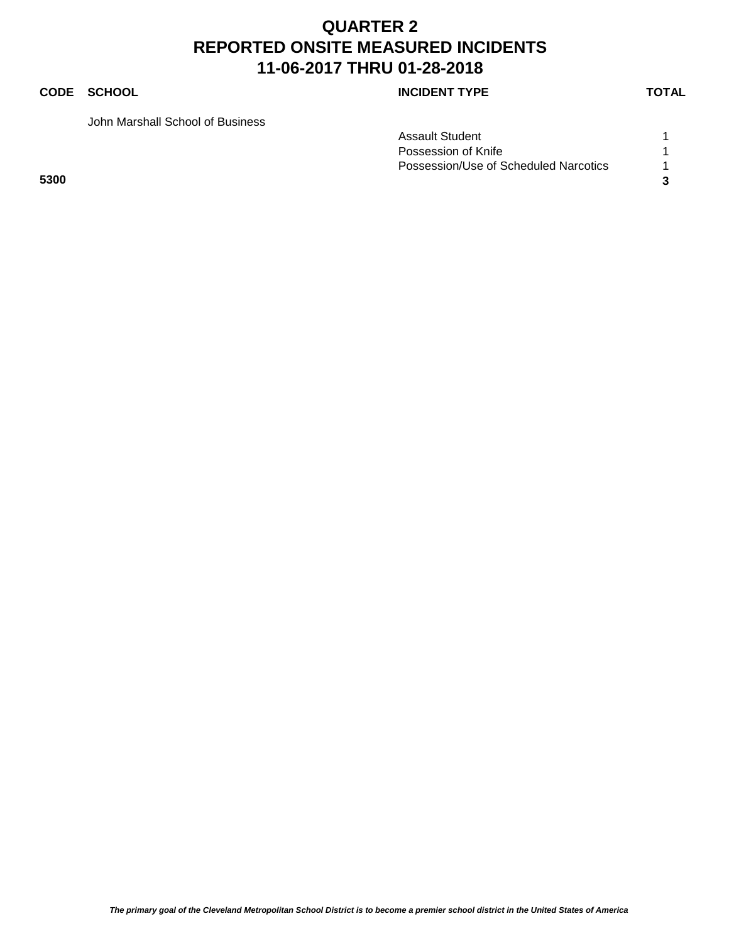### **CODE SCHOOL CODE SCHOOL**

John Marshall School of Business

|      | <b>Assault Student</b>                |  |
|------|---------------------------------------|--|
|      | Possession of Knife                   |  |
|      | Possession/Use of Scheduled Narcotics |  |
| 5300 |                                       |  |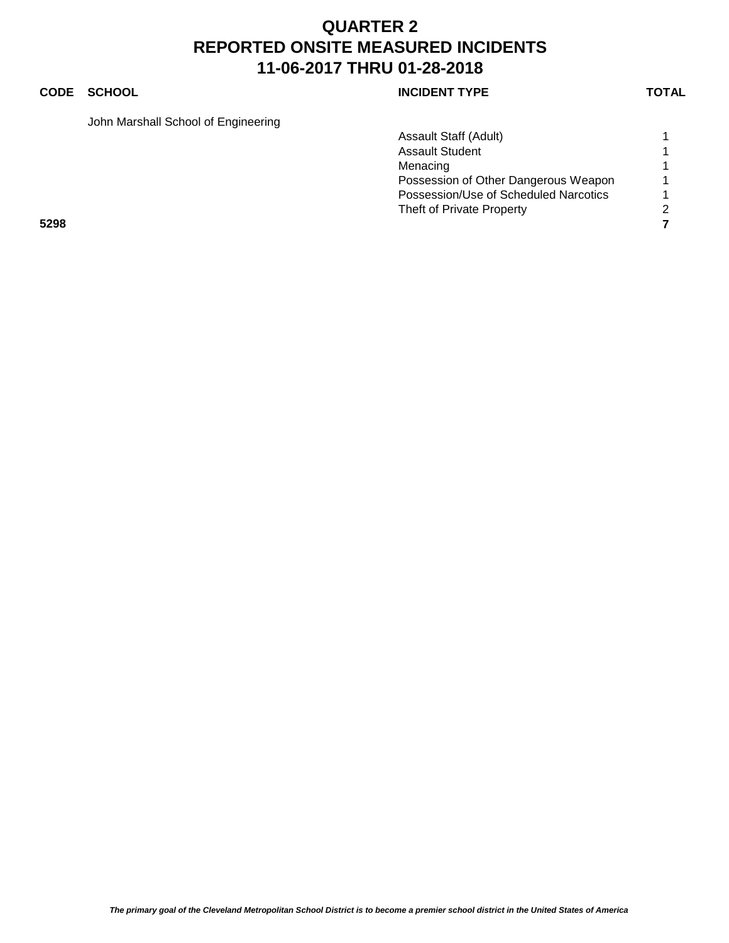### **CODE SCHOOL CODE SCHOOL**

John Marshall School of Engineering

|      | Assault Staff (Adult)                 |   |
|------|---------------------------------------|---|
|      | <b>Assault Student</b>                |   |
|      | Menacing                              |   |
|      | Possession of Other Dangerous Weapon  |   |
|      | Possession/Use of Scheduled Narcotics |   |
|      | Theft of Private Property             | 2 |
| 5298 |                                       |   |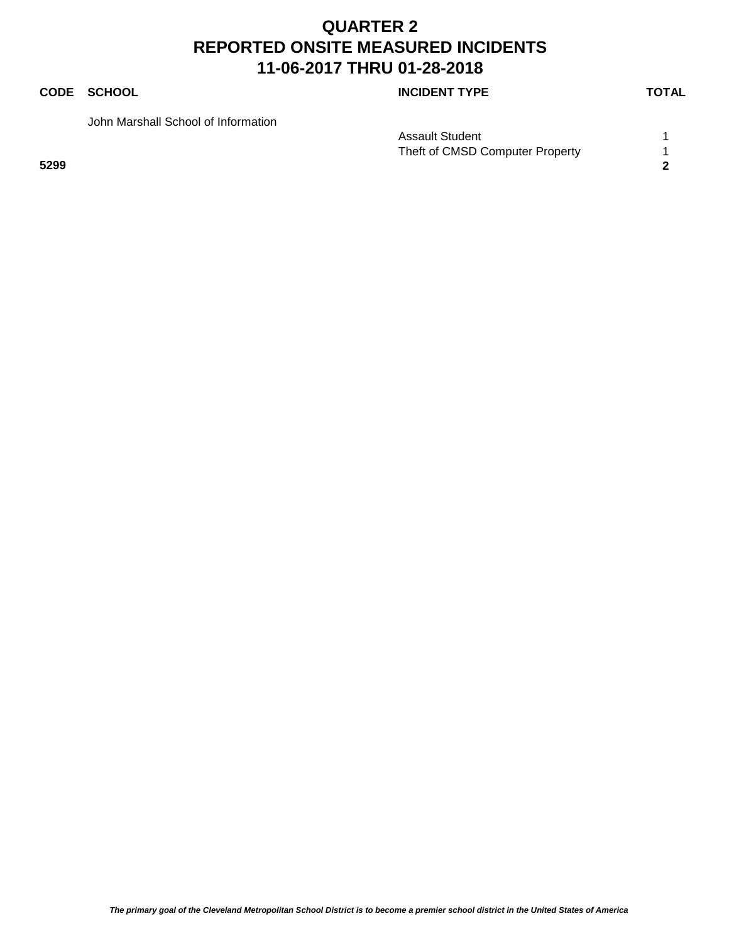### **CODE SCHOOL CODE SCHOOL**

John Marshall School of Information

Assault Student 1 1 Theft of CMSD Computer Property 1 **5299 2**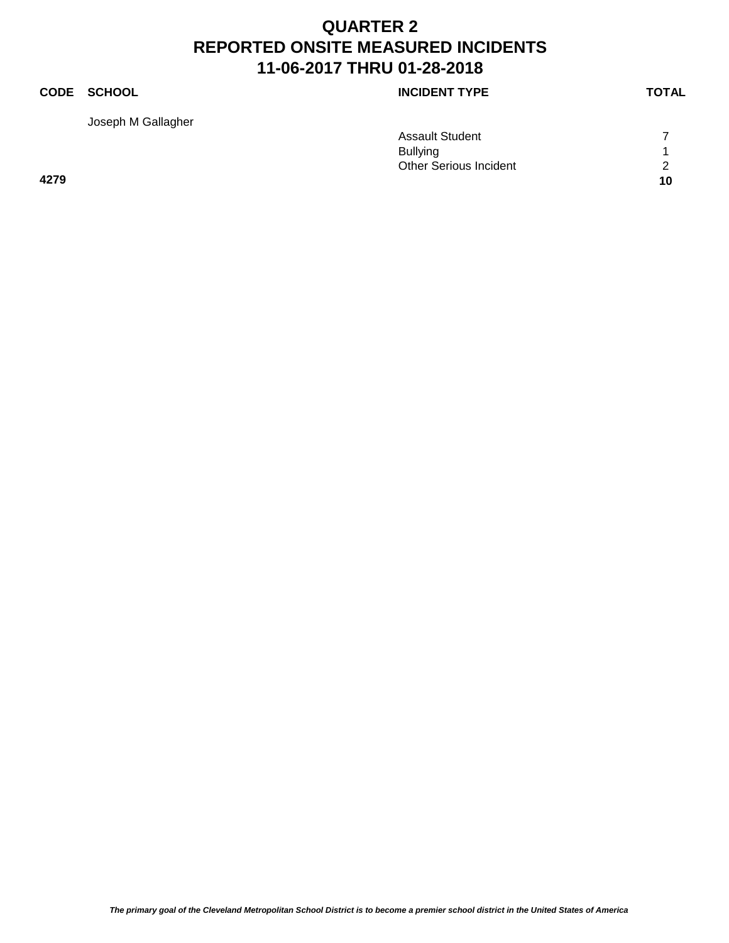### **CODE SCHOOL CODE SCHOOL** Joseph M Gallagher Assault Student 7 Bullying 1 Other Serious Incident 2 **4279 10**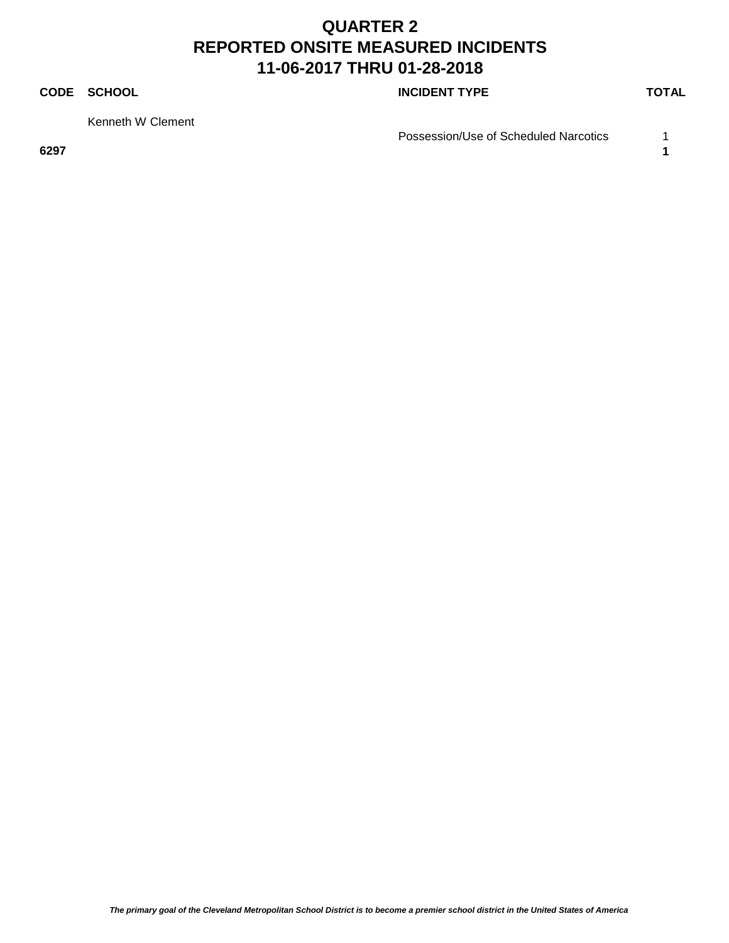### **CODE SCHOOL CODE SCHOOL**

Kenneth W Clement

**6297 1**

Possession/Use of Scheduled Narcotics 1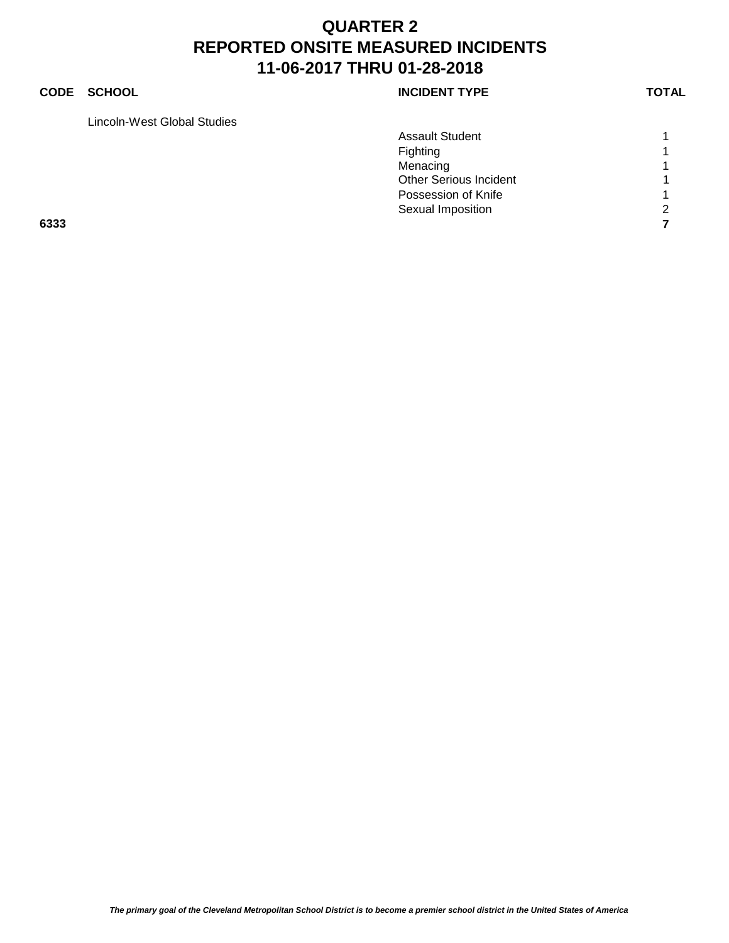### **CODE SCHOOL CODE SCHOOL**

Lincoln-West Global Studies

| <b>INCIDENT TYPE</b> |  |
|----------------------|--|
|----------------------|--|

|      | <b>Assault Student</b>        |                |
|------|-------------------------------|----------------|
|      | Fighting                      | $\overline{ }$ |
|      | Menacing                      | 4              |
|      | <b>Other Serious Incident</b> | $\overline{A}$ |
|      | Possession of Knife           | $\overline{A}$ |
|      | Sexual Imposition             | $\overline{2}$ |
| 6333 |                               |                |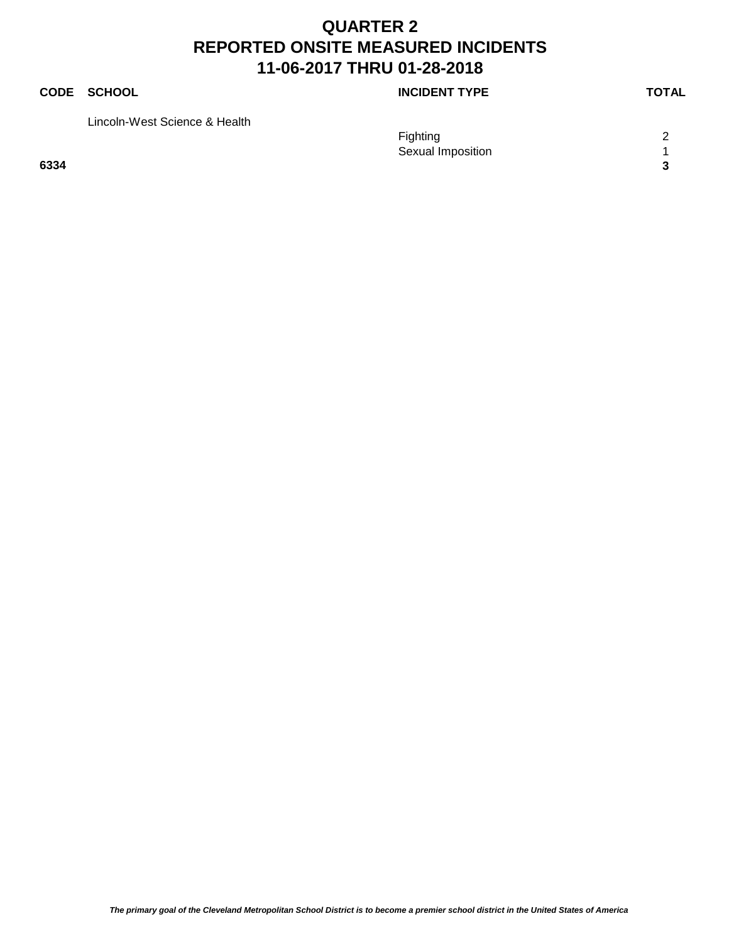## **CODE SCHOOL CODE SCHOOL** Lincoln-West Science & Health Fighting 2 Sexual Imposition 1 **6334 3**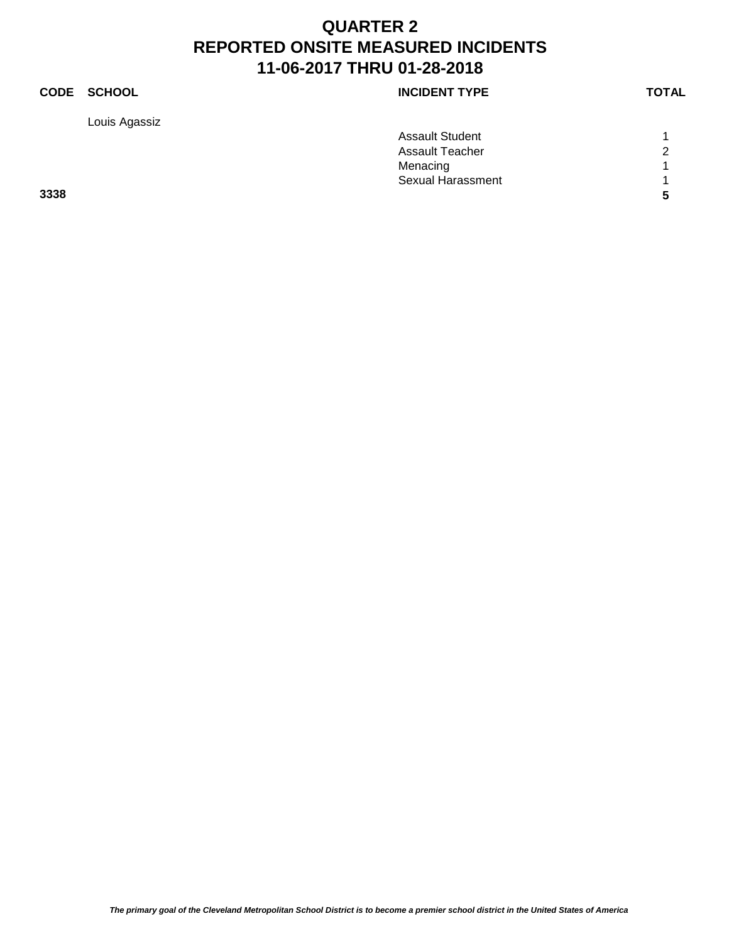Louis Agassiz

| <b>CODE</b> | <b>SCHOOL</b> | <b>INCIDENT TYPE</b> | <b>TOTAL</b> |
|-------------|---------------|----------------------|--------------|
|             |               |                      |              |

|      | <b>Assault Student</b>   |                |
|------|--------------------------|----------------|
|      | Assault Teacher          | $\overline{2}$ |
|      | Menacing                 |                |
|      | <b>Sexual Harassment</b> |                |
| 3338 |                          |                |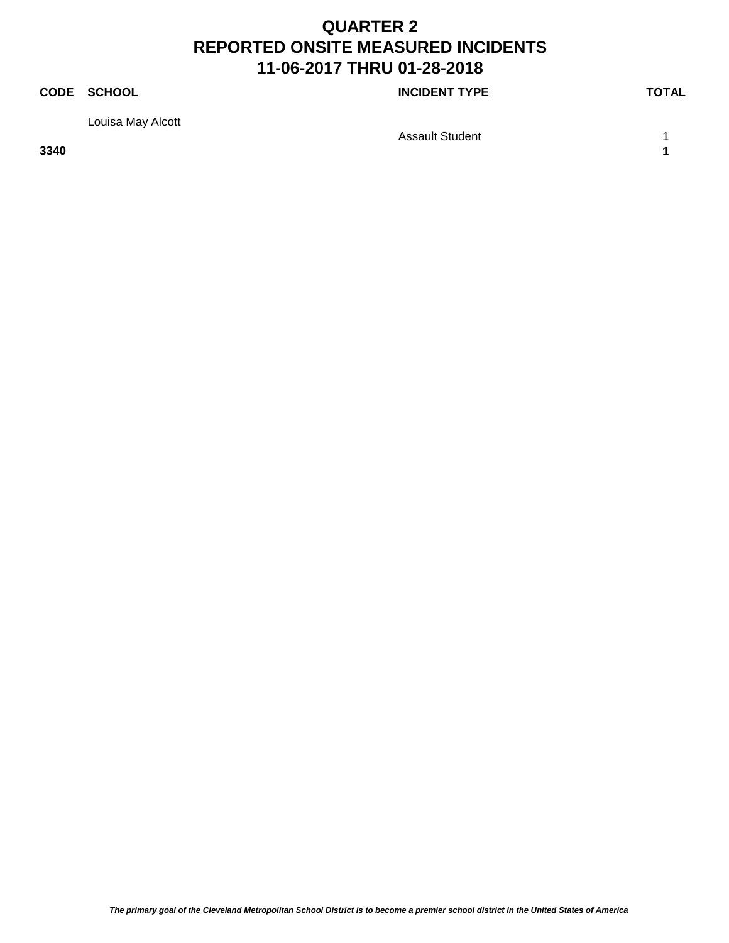**CODE SCHOOL CODE SCHOOL** 

Louisa May Alcott

Assault Student 1 1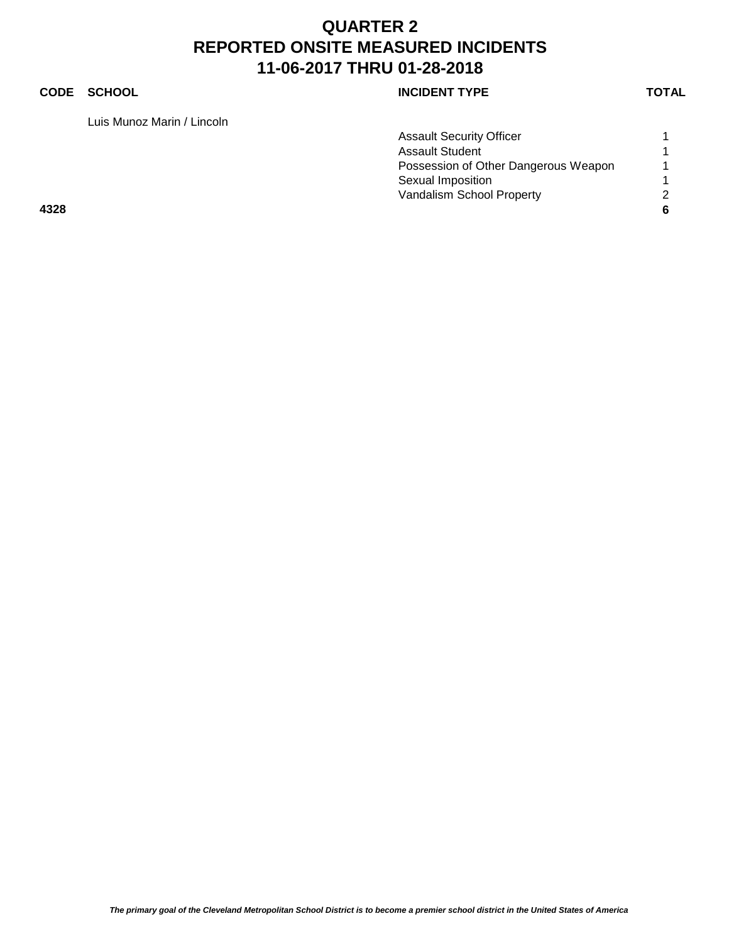### **CODE SCHOOL CODE SCHOOL**

Luis Munoz Marin / Lincoln

| <b>INCIDENT TYPE</b> |  |
|----------------------|--|
|----------------------|--|

|      | <b>Assault Security Officer</b>      |   |
|------|--------------------------------------|---|
|      | <b>Assault Student</b>               |   |
|      | Possession of Other Dangerous Weapon |   |
|      | Sexual Imposition                    |   |
|      | Vandalism School Property            | 2 |
| 4328 |                                      | 6 |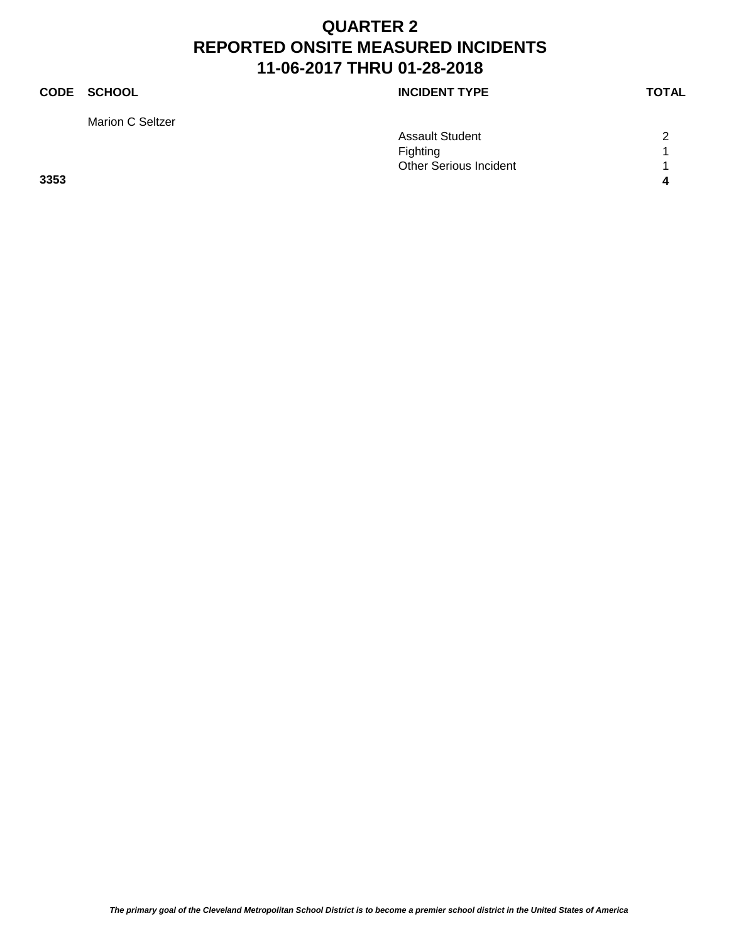Marion C Seltzer

### **CODE SCHOOL CODE SCHOOL**

|      | <b>Assault Student</b> | $\sim$ |
|------|------------------------|--------|
|      | <b>Fighting</b>        |        |
|      | Other Serious Incident |        |
| 3353 |                        | д      |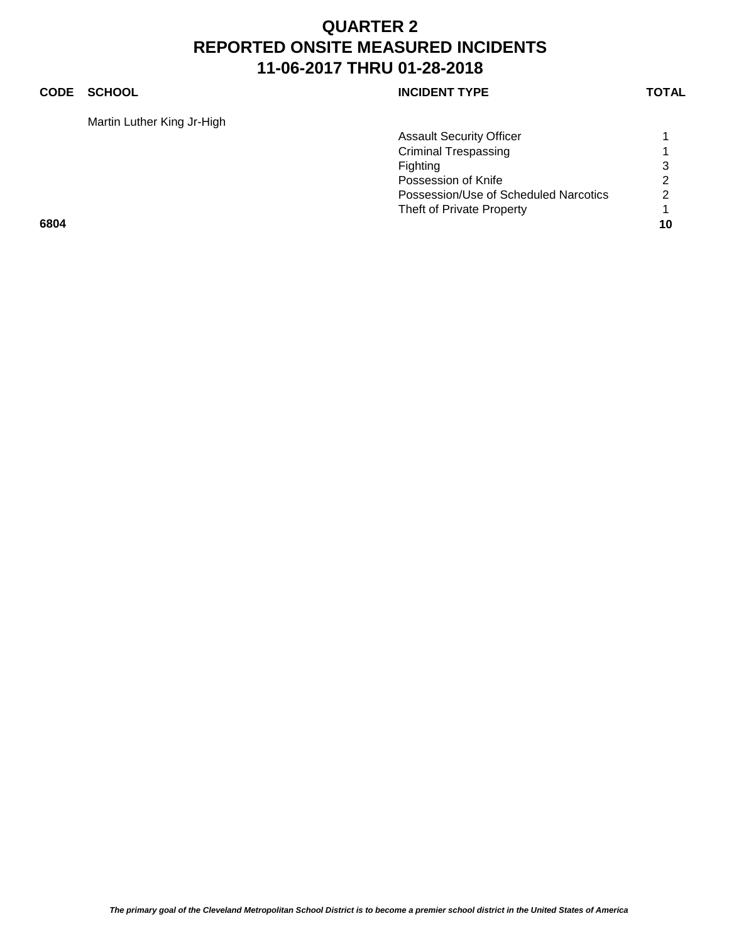### **CODE SCHOOL CODE SCHOOL**

Martin Luther King Jr-High

| <b>INCIDENT TYPE</b> |  |
|----------------------|--|
|----------------------|--|

|      | <b>Assault Security Officer</b>       |               |
|------|---------------------------------------|---------------|
|      | <b>Criminal Trespassing</b>           |               |
|      | Fighting                              | 3             |
|      | Possession of Knife                   | $\mathcal{P}$ |
|      | Possession/Use of Scheduled Narcotics | 2             |
|      | Theft of Private Property             |               |
| 6804 |                                       | 10            |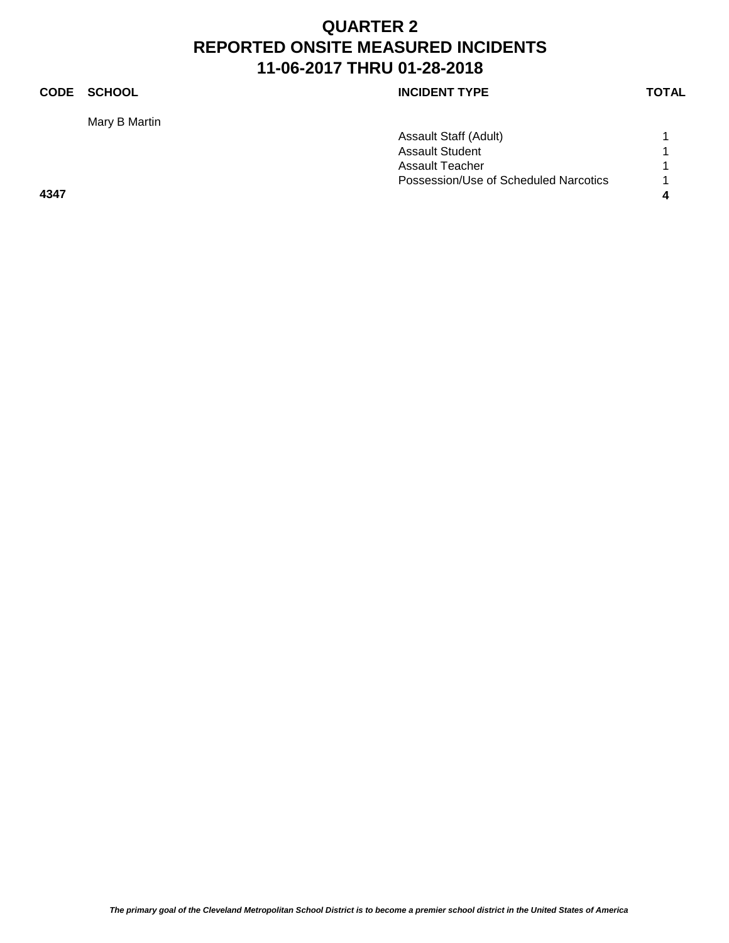Mary B Martin

|             |        |                      | TOTAL |
|-------------|--------|----------------------|-------|
| <b>CODE</b> | SCHOOL | <b>INCIDENT TYPE</b> |       |
|             |        |                      |       |

|      | Assault Staff (Adult)                 |   |
|------|---------------------------------------|---|
|      | <b>Assault Student</b>                |   |
|      | Assault Teacher                       |   |
|      | Possession/Use of Scheduled Narcotics |   |
| 4347 |                                       | 4 |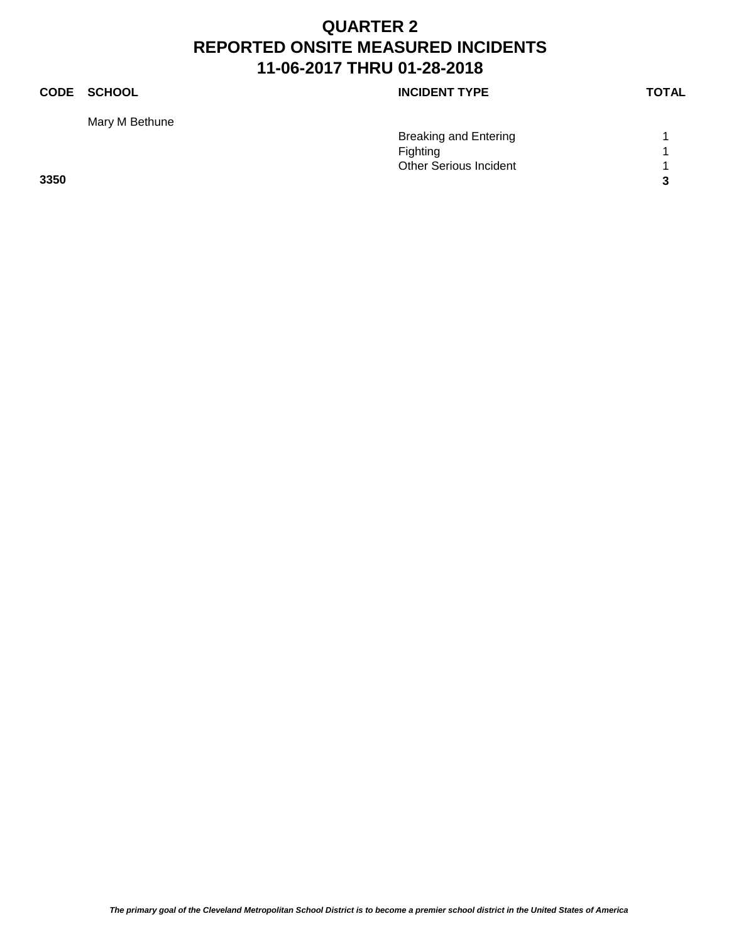Mary M Bethune

### **CODE SCHOOL CODE SCHOOL**

|      | <b>Breaking and Entering</b>  |   |
|------|-------------------------------|---|
|      | Fighting                      |   |
|      | <b>Other Serious Incident</b> |   |
| 3350 |                               | ົ |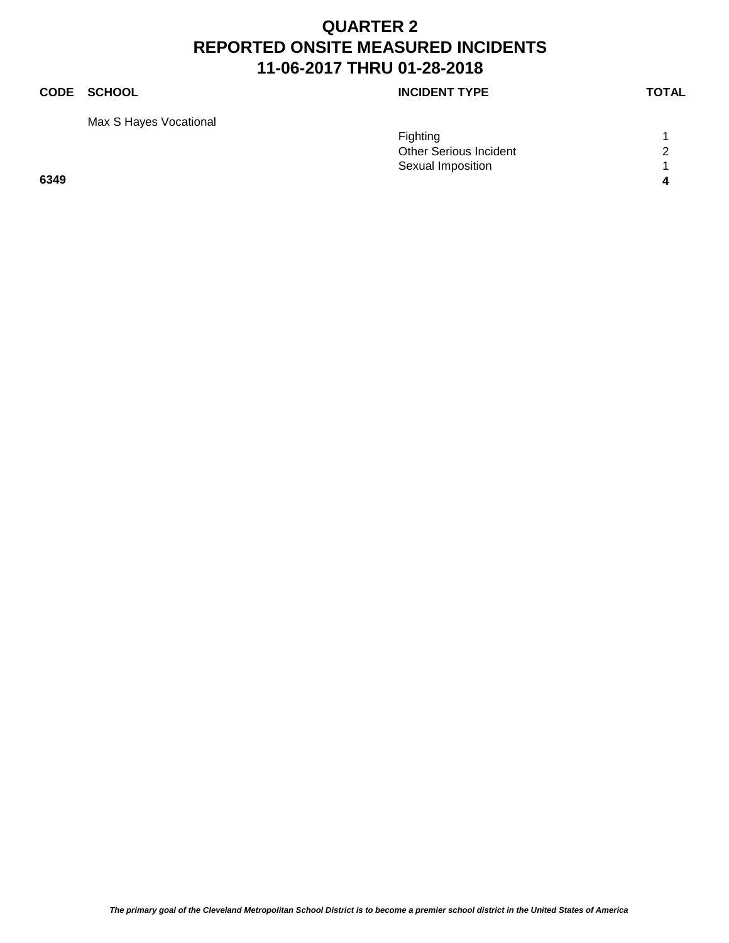### **CODE SCHOOL CODE SCHOOL**

Max S Hayes Vocational

| <b>INCIDENT TYPE</b> |  |
|----------------------|--|
|----------------------|--|

|      | Fighting                      |   |
|------|-------------------------------|---|
|      | <b>Other Serious Incident</b> | ⌒ |
|      | Sexual Imposition             |   |
| 6349 |                               |   |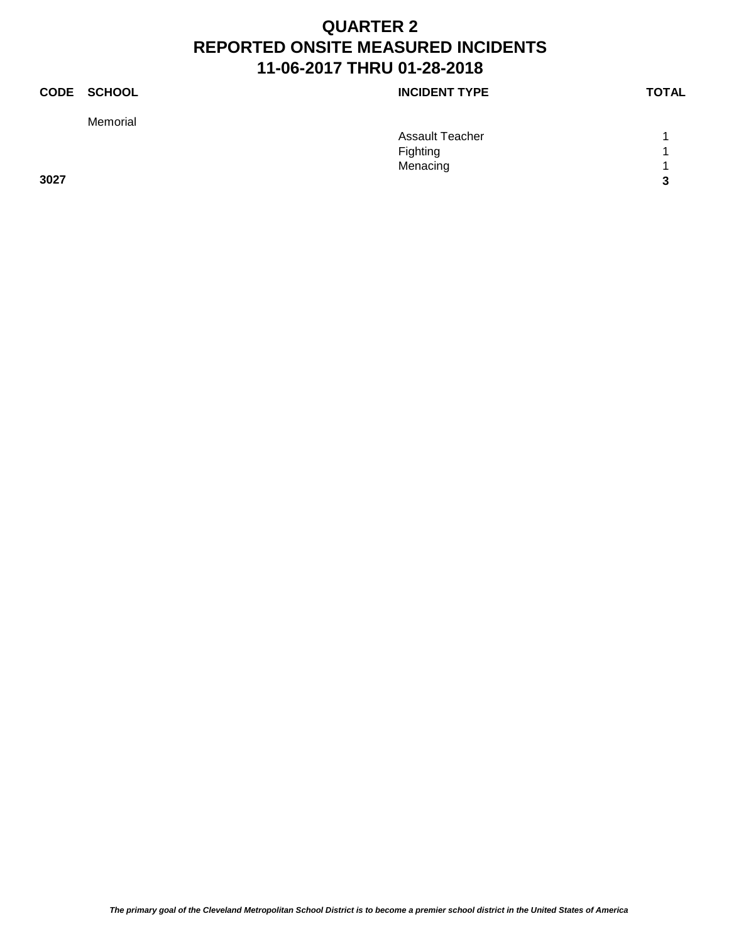Memorial

### **CODE SCHOOL CODE SCHOOL**

|      | <b>Assault Teacher</b> |                  |
|------|------------------------|------------------|
|      | Fighting               | и                |
|      | Menacing               | $\boldsymbol{A}$ |
| 3027 |                        | 2<br>- 7         |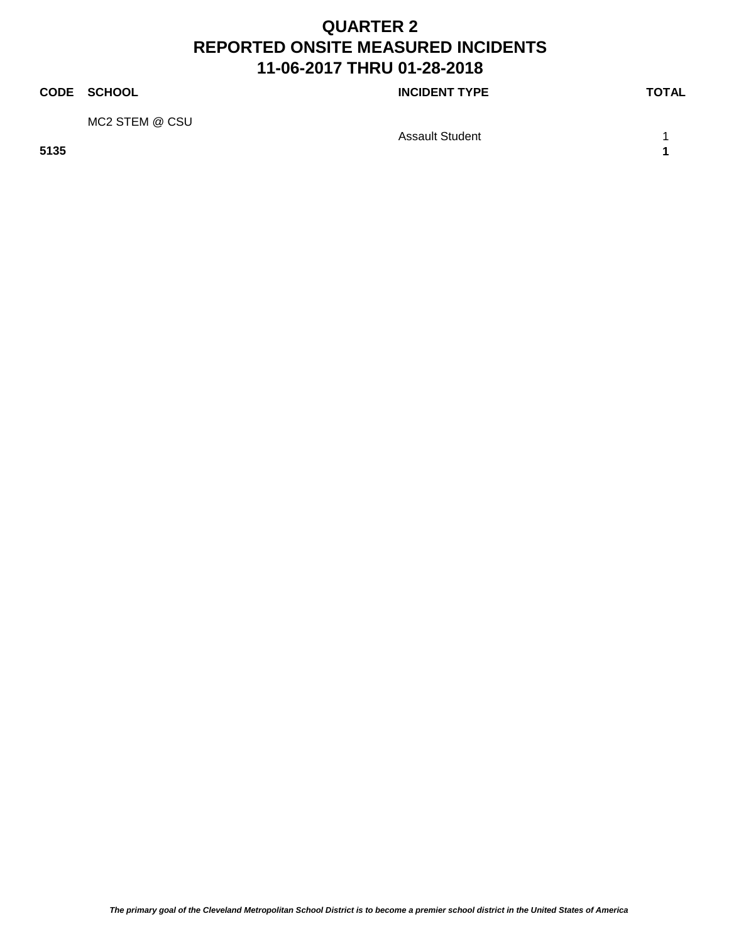### **CODE SCHOOL CODE SCHOOL**

MC2 STEM @ CSU

Assault Student 1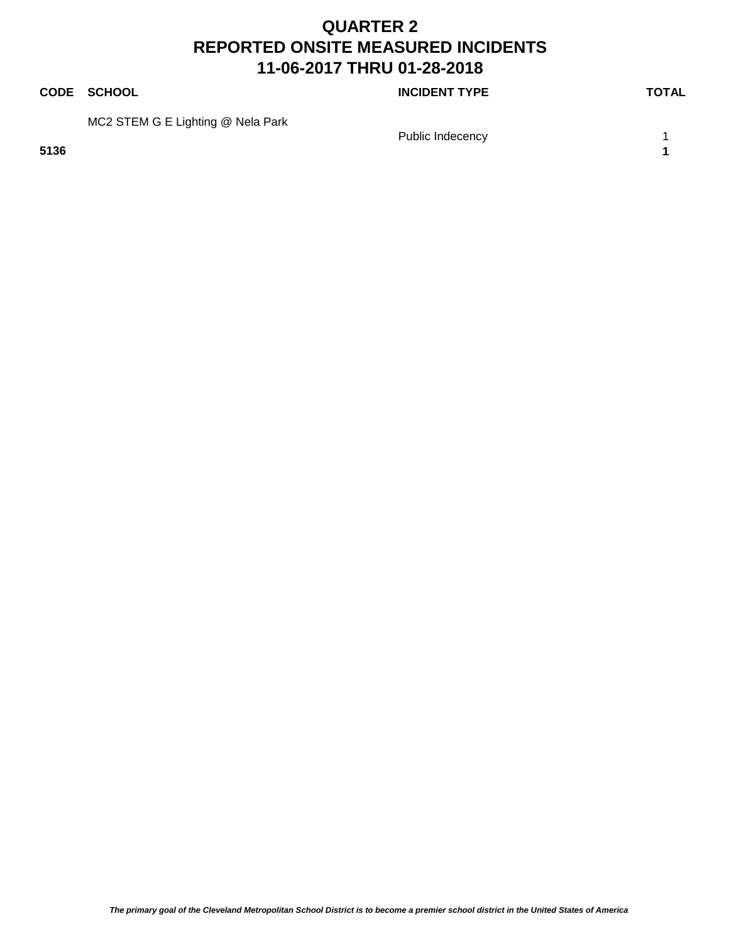**CODE SCHOOL CODE SCHOOL** 

MC2 STEM G E Lighting @ Nela Park

**5136 1**

Public Indecency 1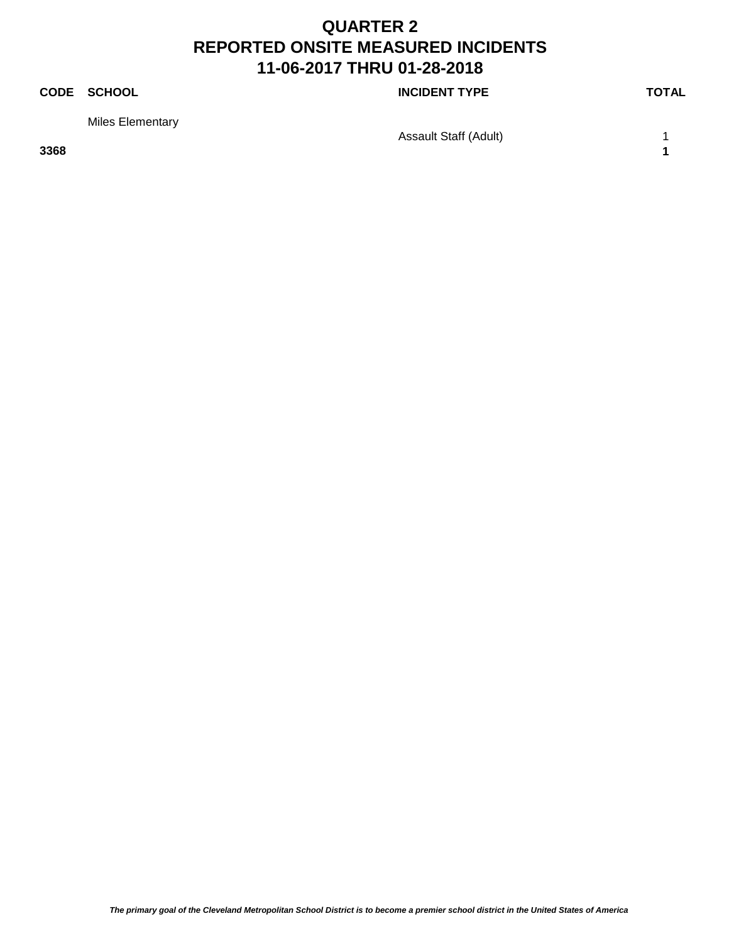**CODE SCHOOL CODE SCHOOL** 

Miles Elementary

Assault Staff (Adult) 1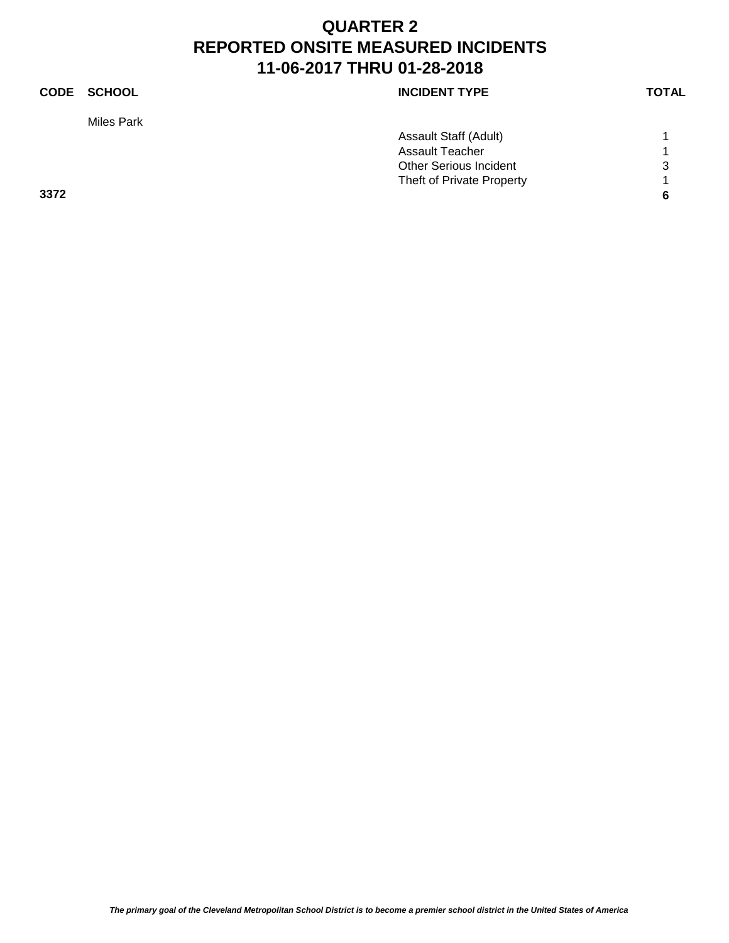### **CODE SCHOOL CODE SCHOOL** Miles Park Assault Staff (Adult) 1 Assault Teacher 1 1 Other Serious Incident 3 Theft of Private Property 1 **3372 6**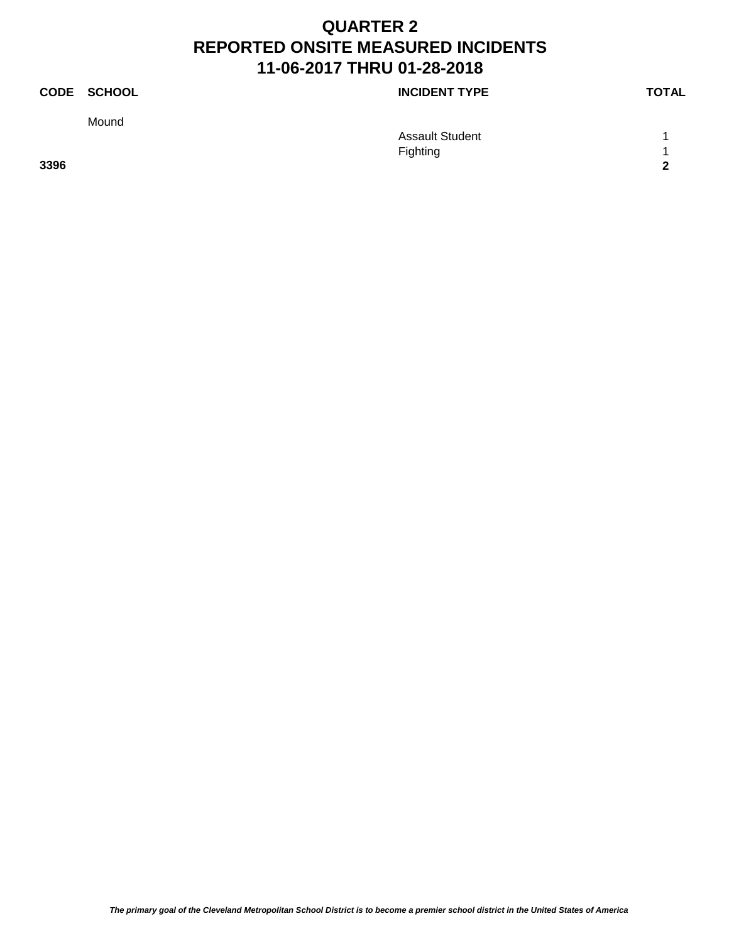Mound

**CODE SCHOOL CODE SCHOOL** 

Assault Student 1 1 Fighting 1 **3396 2**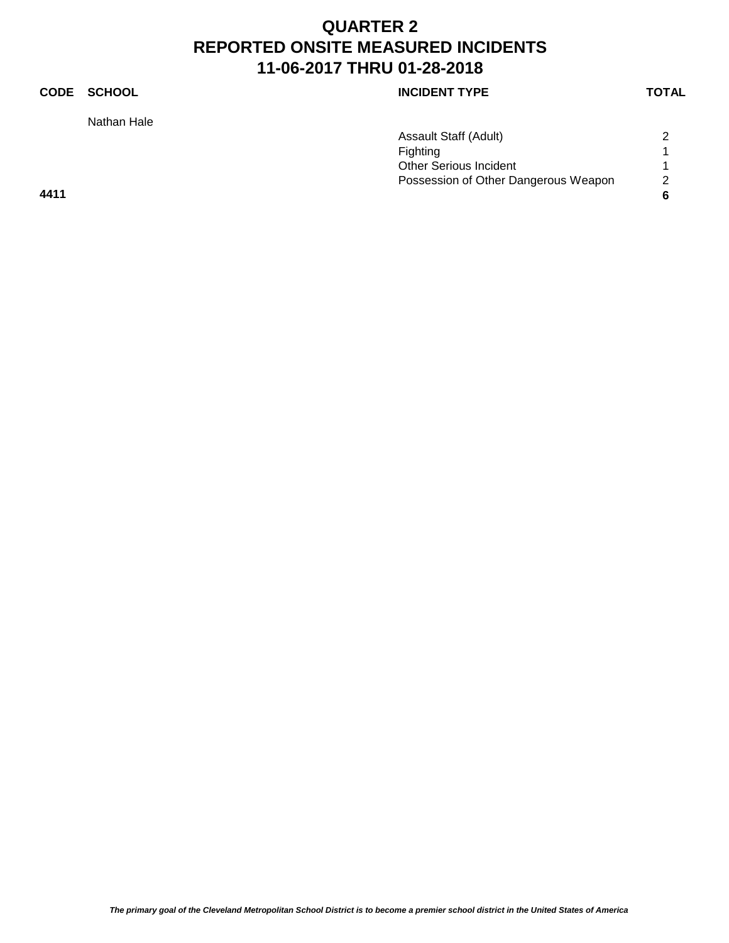Nathan Hale

### **CODE SCHOOL CODE SCHOOL**

|      | Assault Staff (Adult)                | 2 |
|------|--------------------------------------|---|
|      | Fighting                             |   |
|      | <b>Other Serious Incident</b>        |   |
|      | Possession of Other Dangerous Weapon | 2 |
| 4411 |                                      |   |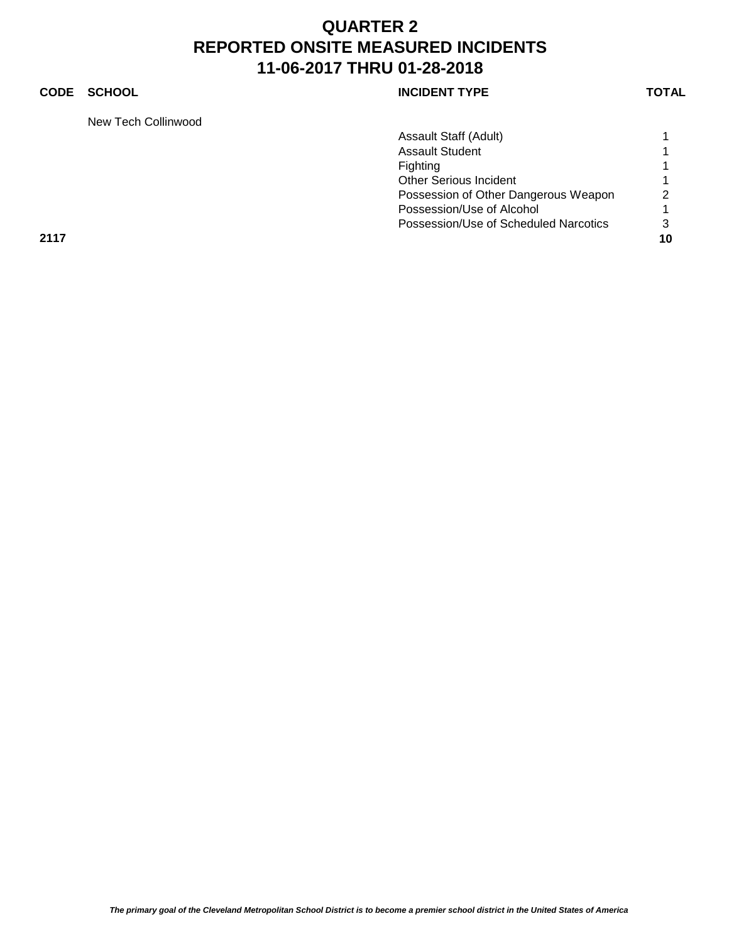### **CODE SCHOOL CODE SCHOOL**

New Tech Collinwood

| <b>INCIDENT TYPE</b> |  |
|----------------------|--|
|----------------------|--|

|      | Assault Staff (Adult)                 |               |
|------|---------------------------------------|---------------|
|      | <b>Assault Student</b>                |               |
|      | Fighting                              |               |
|      | <b>Other Serious Incident</b>         |               |
|      | Possession of Other Dangerous Weapon  | 2             |
|      | Possession/Use of Alcohol             |               |
|      | Possession/Use of Scheduled Narcotics | $\mathcal{S}$ |
| 2117 |                                       | 10            |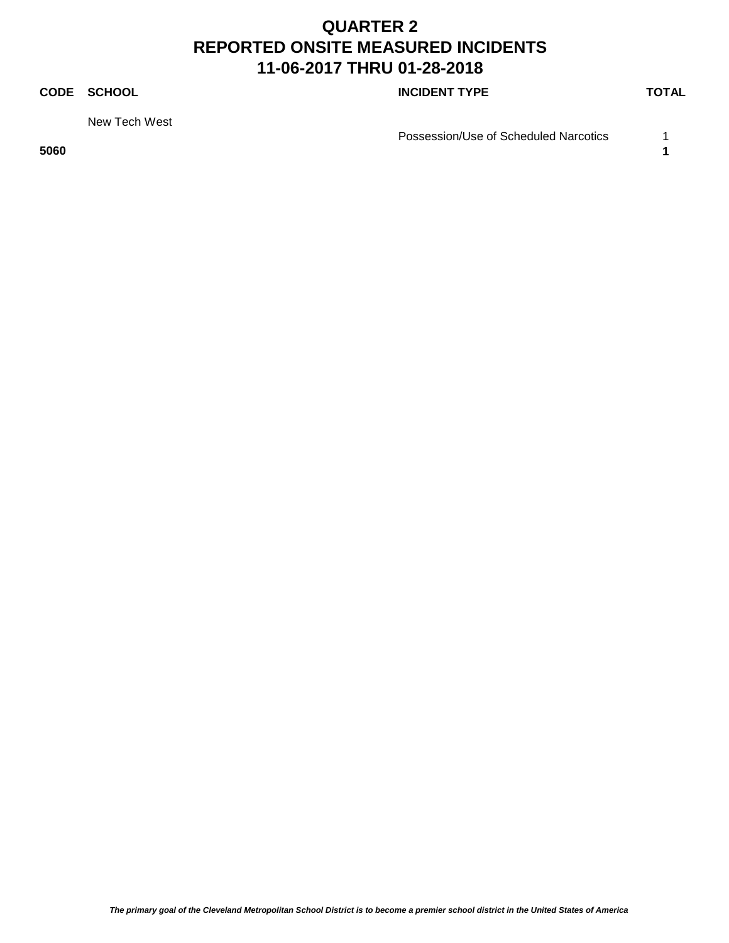### **CODE SCHOOL CODE SCHOOL**

New Tech West

Possession/Use of Scheduled Narcotics 1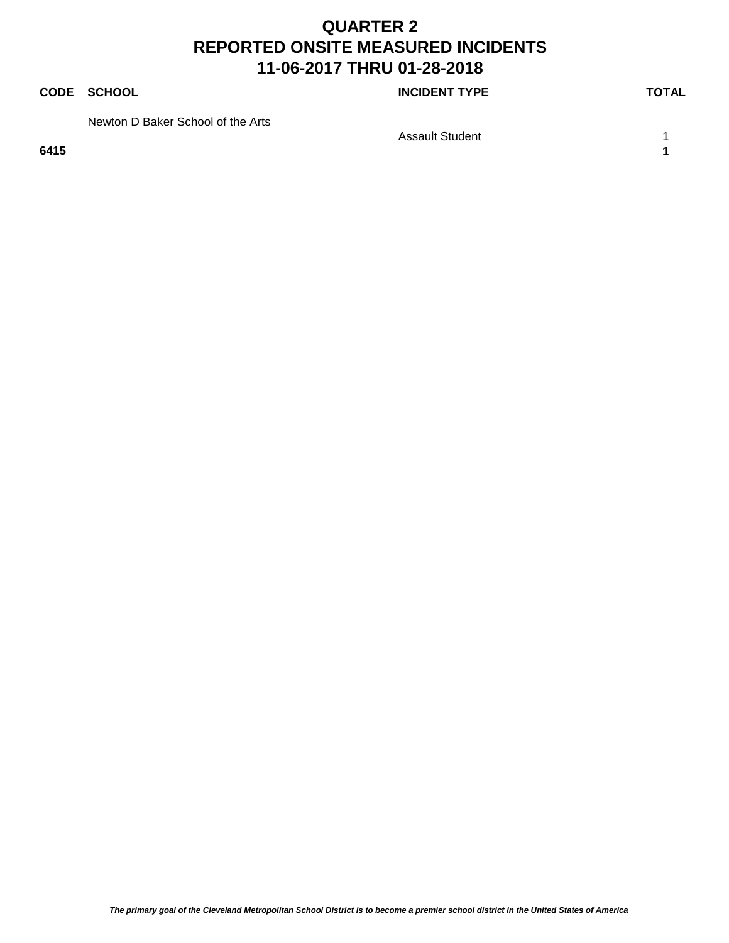### **CODE SCHOOL CODE SCHOOL**

Newton D Baker School of the Arts

Assault Student 1 1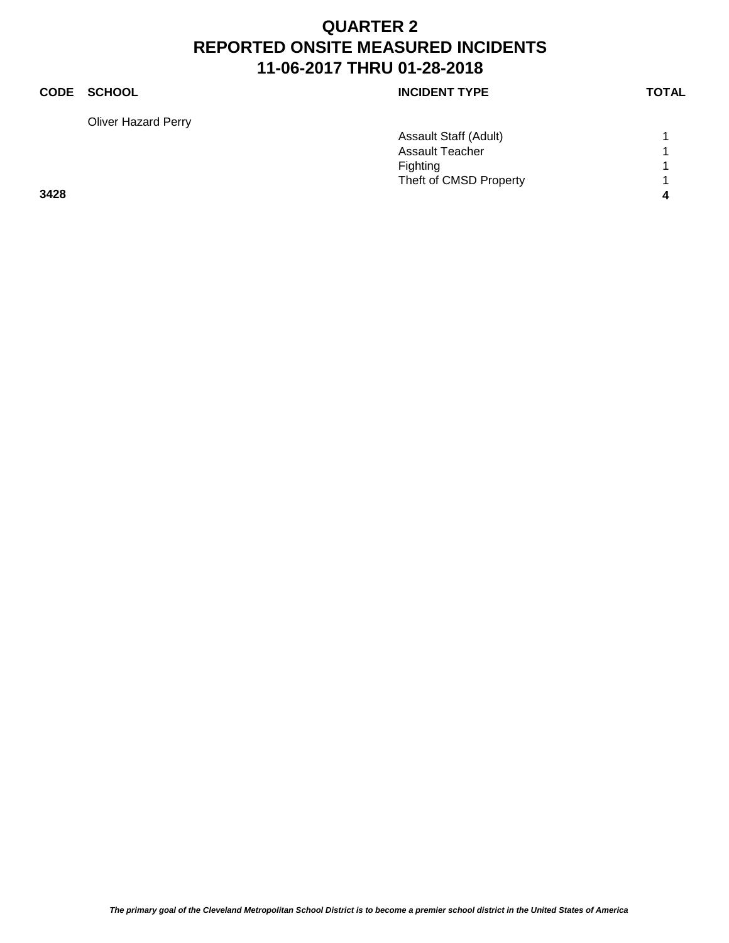Oliver Hazard Perry

|             |               |                      | <b>TOTAL</b> |
|-------------|---------------|----------------------|--------------|
| <b>CODE</b> | <b>SCHOOL</b> | <b>INCIDENT TYPE</b> |              |
|             |               |                      |              |

|      | Assault Staff (Adult)  |   |
|------|------------------------|---|
|      | Assault Teacher        |   |
|      | <b>Fighting</b>        |   |
|      | Theft of CMSD Property |   |
| 3428 |                        | л |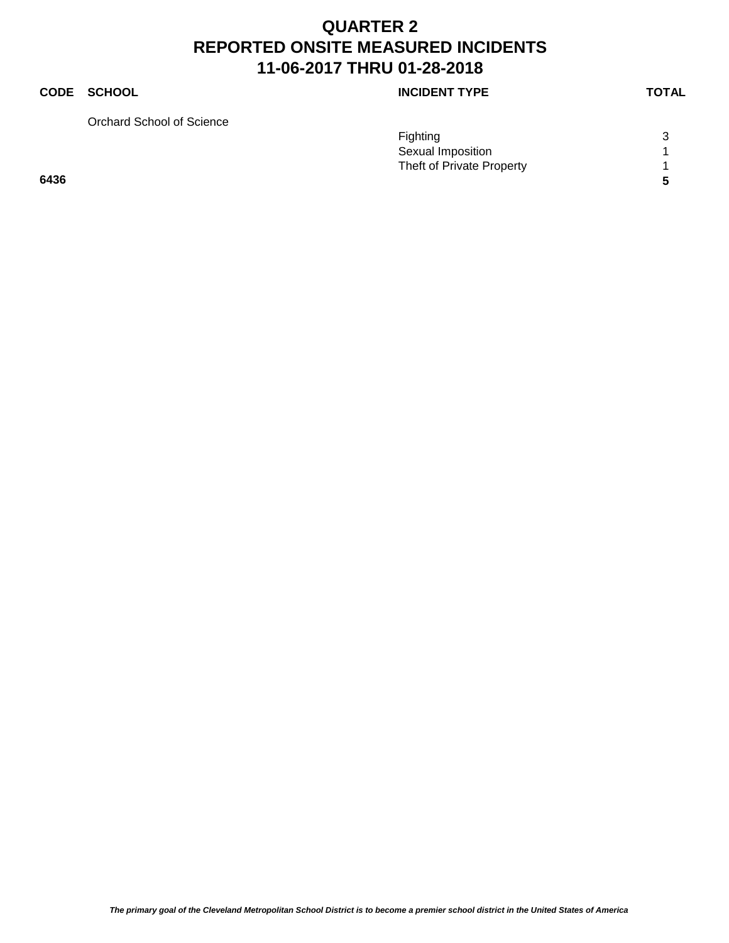Orchard School of Science

|      | Fighting                  | 3 |
|------|---------------------------|---|
|      | Sexual Imposition         |   |
|      | Theft of Private Property |   |
| 6436 |                           |   |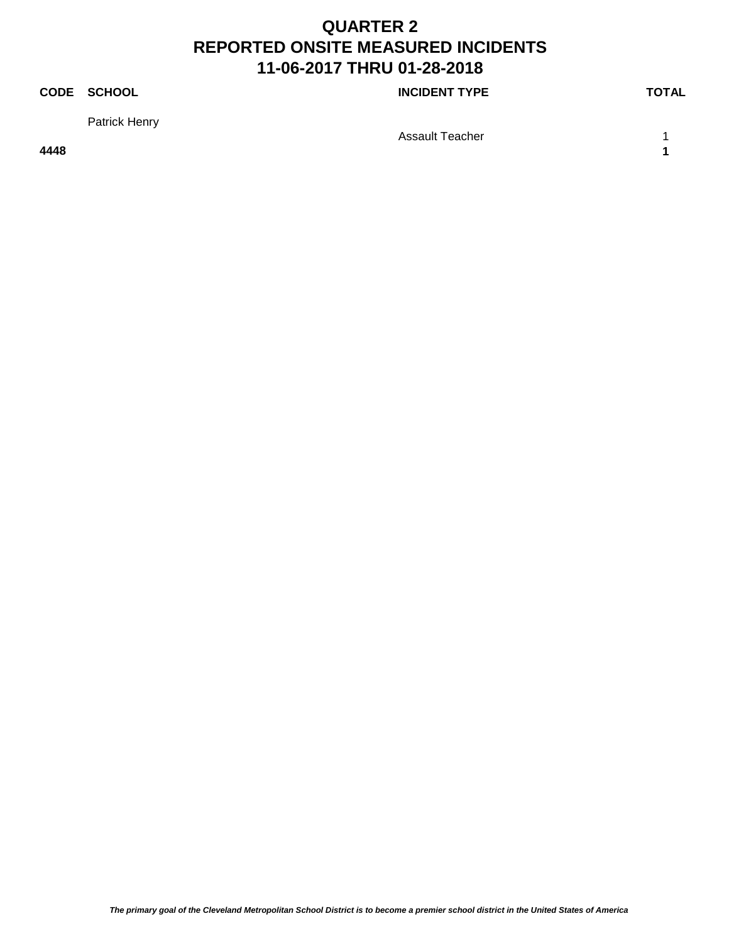### **CODE SCHOOL CODE SCHOOL**

Patrick Henry

Assault Teacher 1 1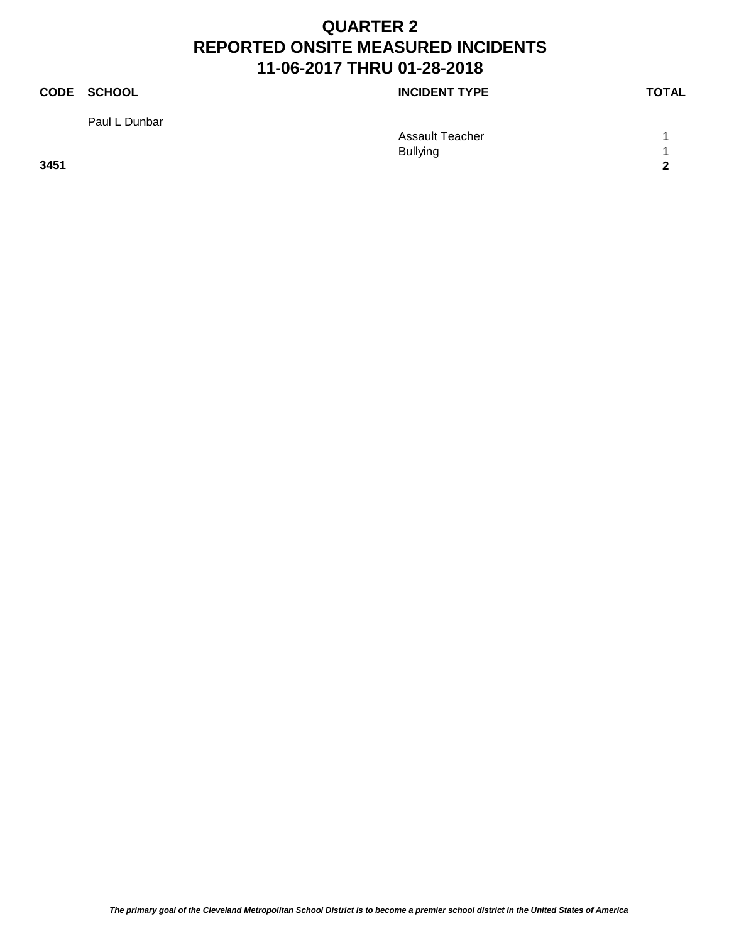Paul L Dunbar

**CODE SCHOOL CODE SCHOOL** 

Assault Teacher 1 1 Bullying 1 **3451 2**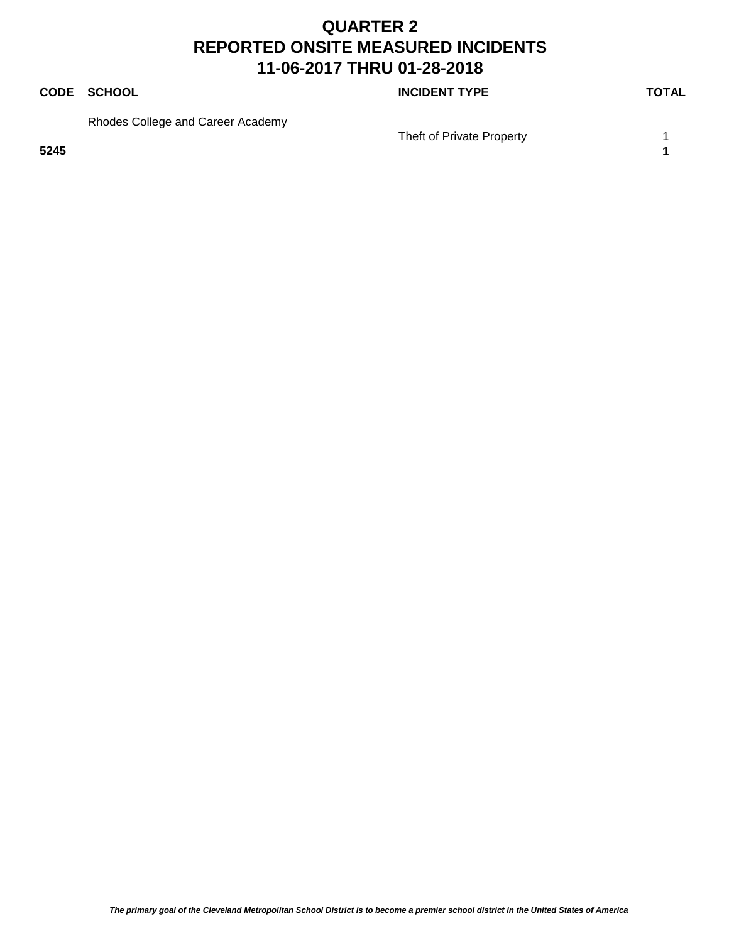### **CODE SCHOOL CODE SCHOOL**

Rhodes College and Career Academy

Theft of Private Property 1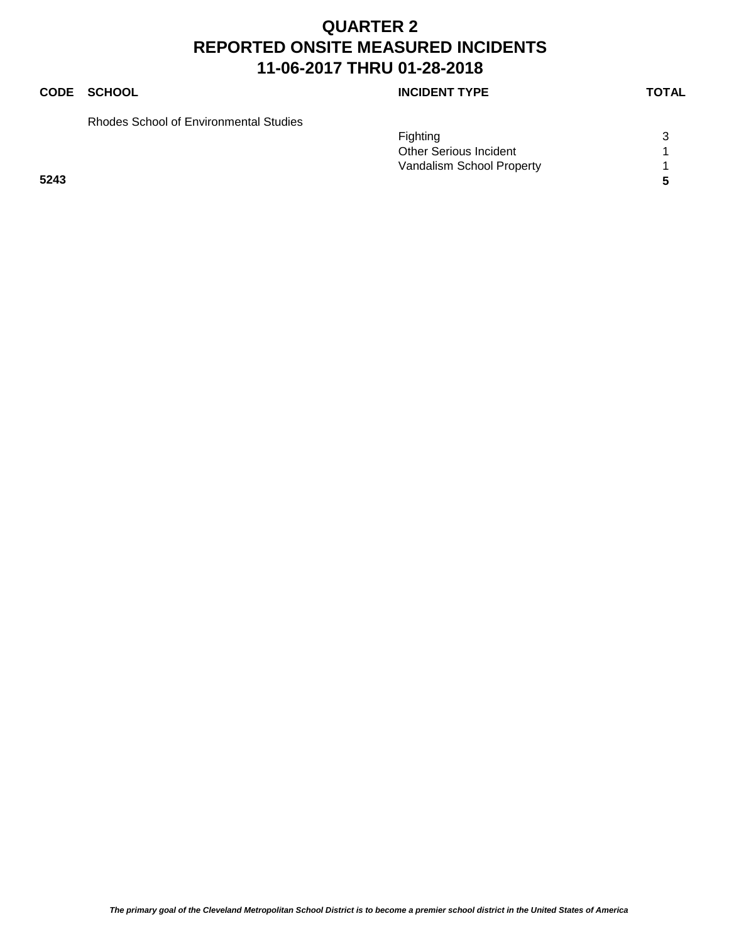### **CODE SCHOOL CODE SCHOOL**

Rhodes School of Environmental Studies

|      | <b>Fighting</b>               | $\sim$ |
|------|-------------------------------|--------|
|      | <b>Other Serious Incident</b> |        |
|      | Vandalism School Property     |        |
| 5243 |                               |        |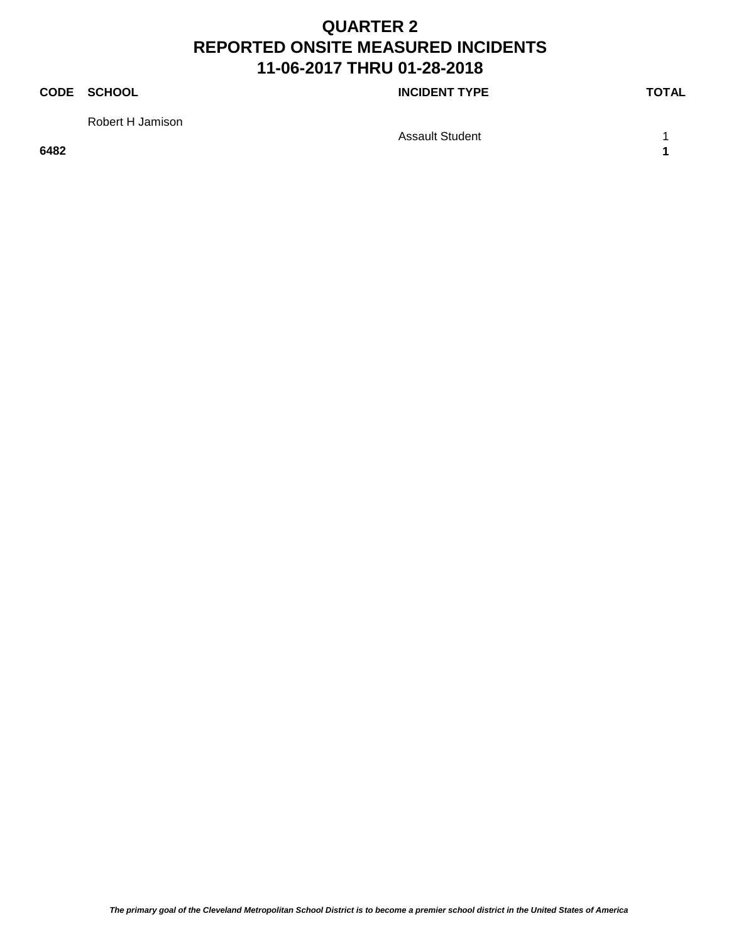**CODE SCHOOL CODE SCHOOL** 

Robert H Jamison

Assault Student 1 1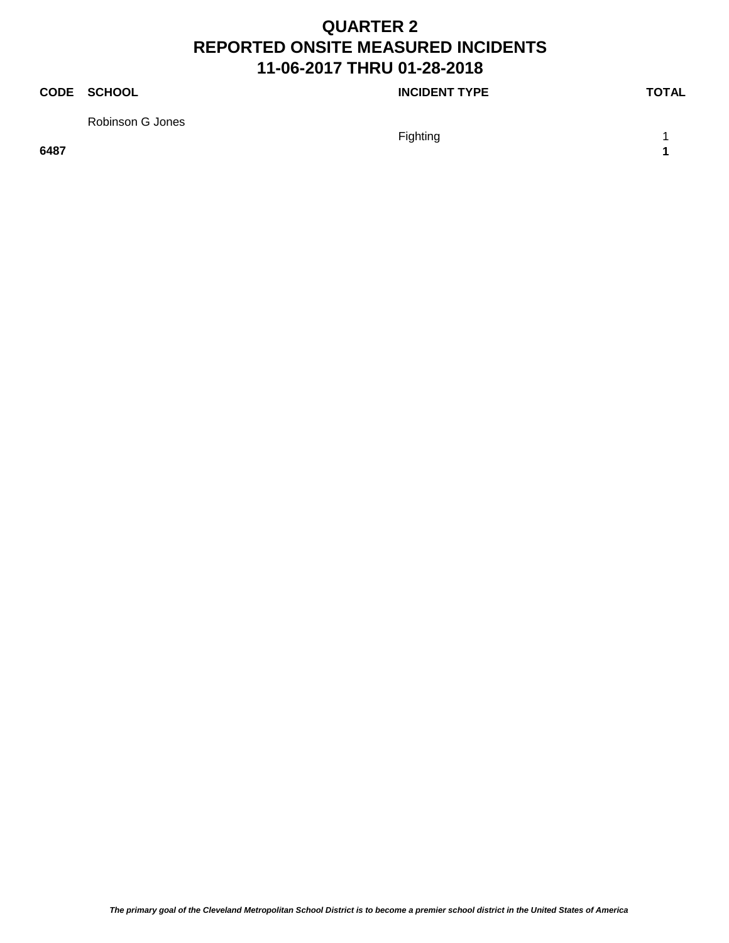#### **CODE SCHOOL CODE SCHOOL**

Robinson G Jones

Fighting 1 and 1 and 1 and 1 and 1 and 1 and 1 and 1 and 1 and 1 and 1 and 1 and 1 and 1 and 1 and 1 and 1 and 1 and 1 and 1 and 1 and 1 and 1 and 1 and 1 and 1 and 1 and 1 and 1 and 1 and 1 and 1 and 1 and 1 and 1 and 1 a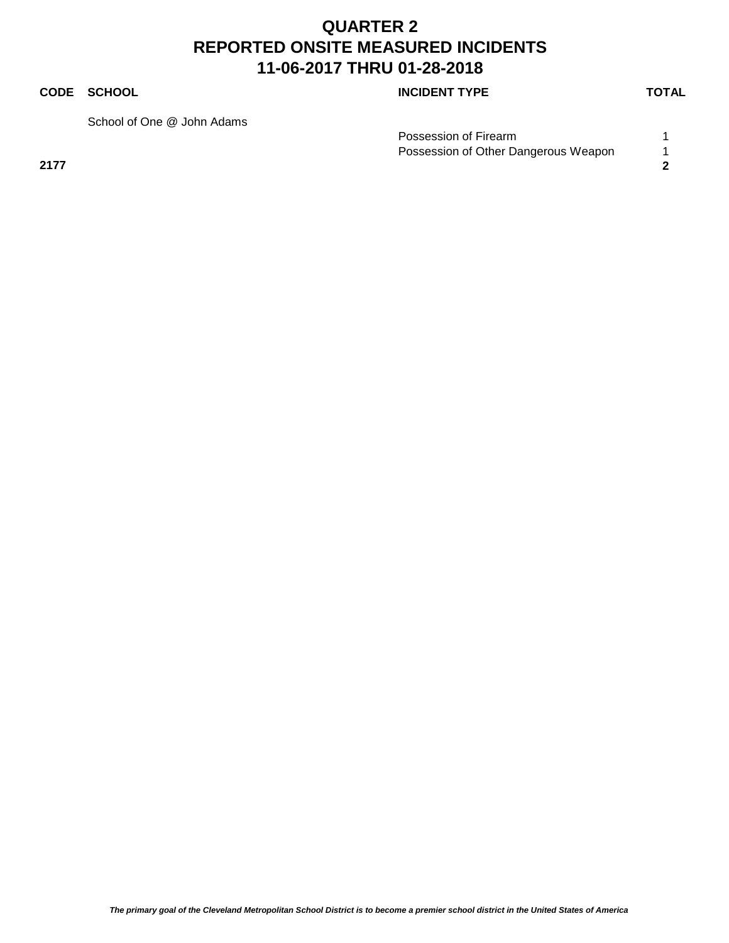#### **CODE SCHOOL CODE SCHOOL**

School of One @ John Adams

| Possession of Firearm                |  |
|--------------------------------------|--|
| Possession of Other Dangerous Weapon |  |
| 2177                                 |  |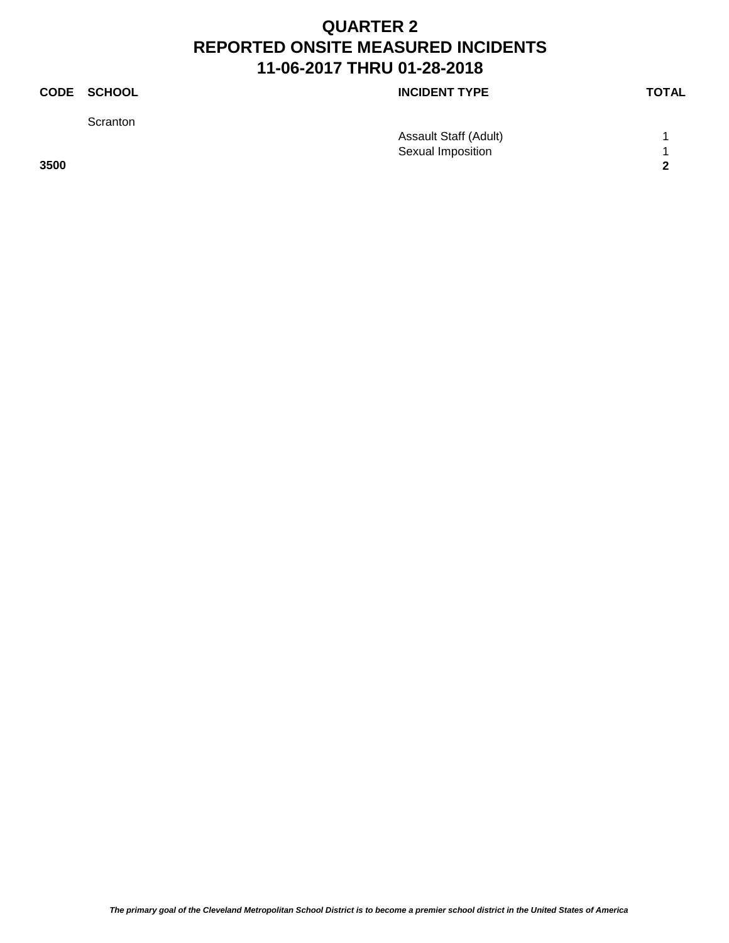|      | CODE SCHOOL | <b>INCIDENT TYPE</b>  | <b>TOTAL</b> |
|------|-------------|-----------------------|--------------|
|      | Scranton    |                       |              |
|      |             | Assault Staff (Adult) |              |
|      |             | Sexual Imposition     | л            |
| 3500 |             |                       | 2            |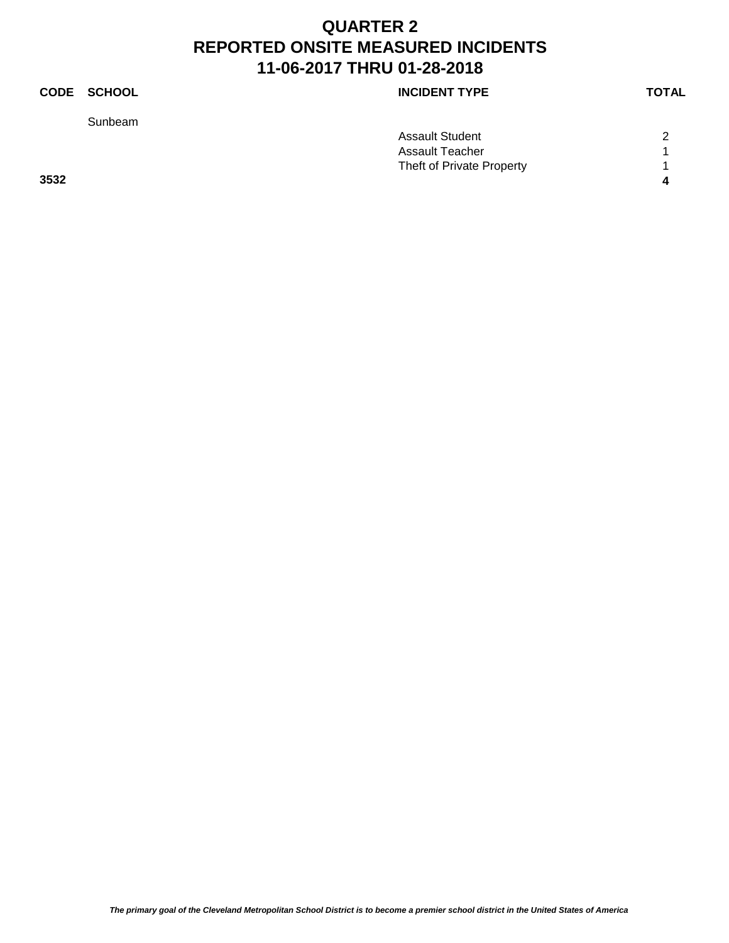Sunbeam

### **CODE SCHOOL CODE SCHOOL**

|      | <b>Assault Student</b>    | $\sim$       |
|------|---------------------------|--------------|
|      | Assault Teacher           |              |
|      | Theft of Private Property |              |
| 3532 |                           | $\mathbf{a}$ |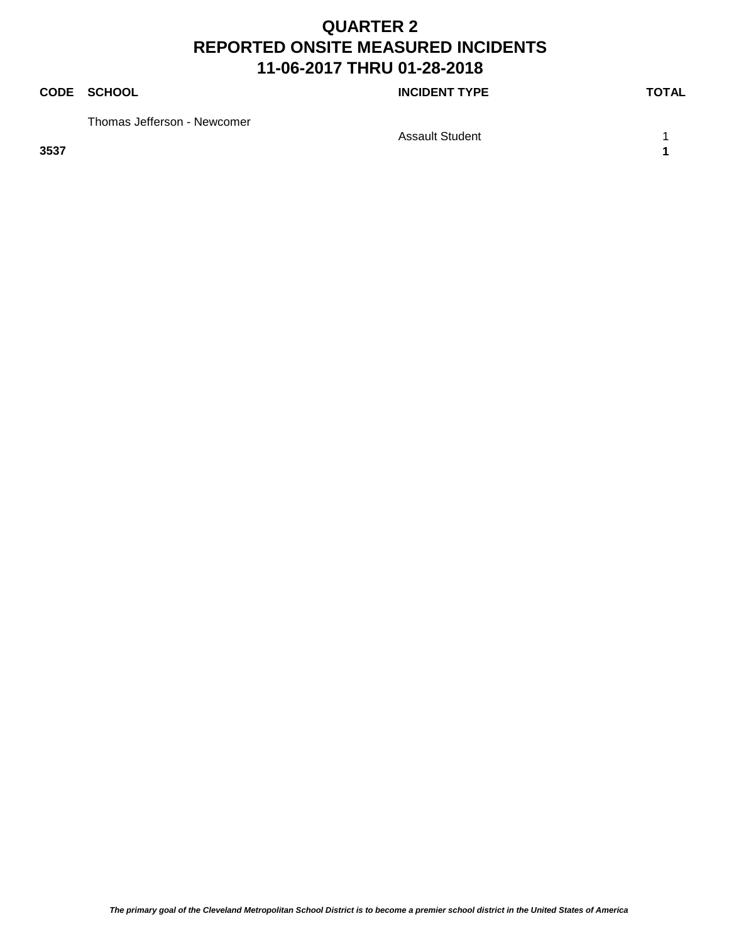#### **CODE SCHOOL CODE SCHOOL**

Thomas Jefferson - Newcomer

Assault Student 1 1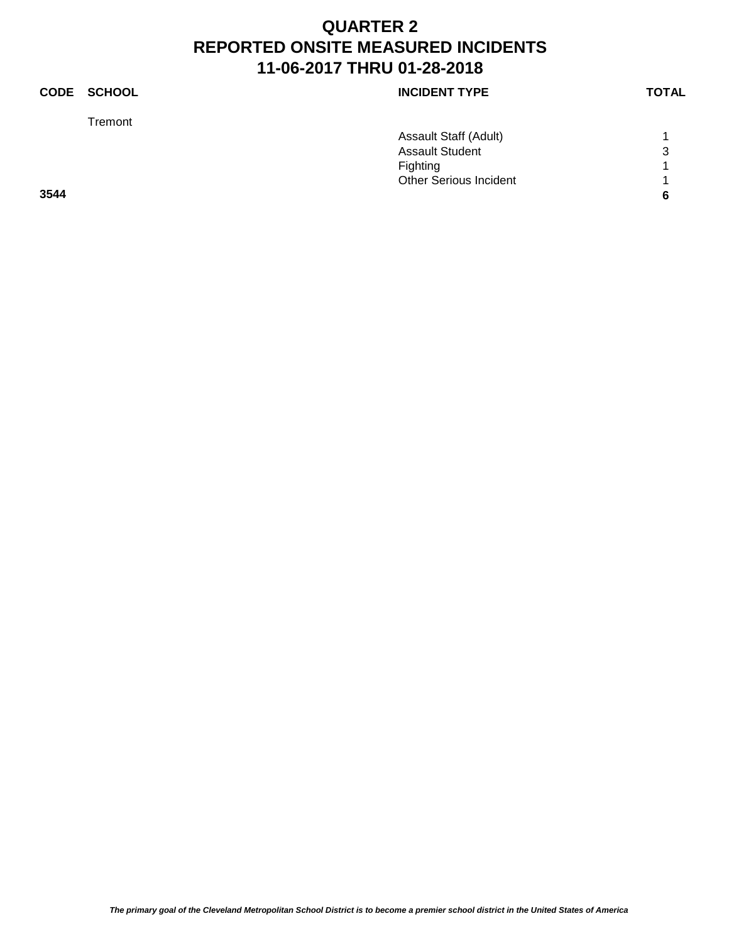|      | CODE SCHOOL | <b>INCIDENT TYPE</b>          | <b>TOTAL</b> |
|------|-------------|-------------------------------|--------------|
|      | Tremont     |                               |              |
|      |             | Assault Staff (Adult)         |              |
|      |             | <b>Assault Student</b>        | 3            |
|      |             | Fighting                      | и            |
|      |             | <b>Other Serious Incident</b> | ◢            |
| 3544 |             |                               | 6            |
|      |             |                               |              |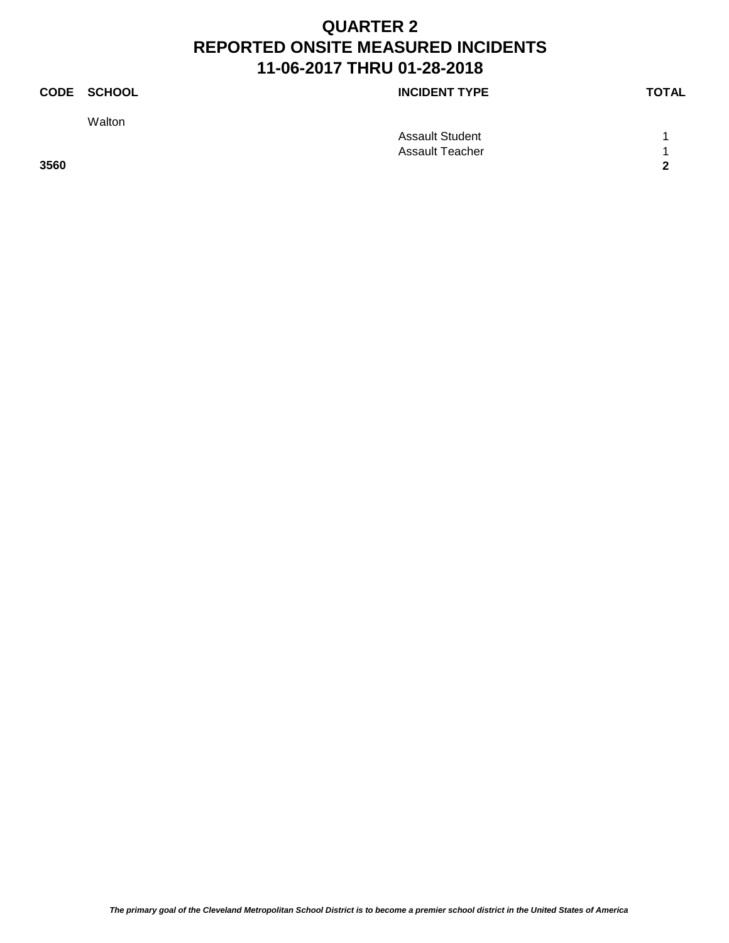**Walton** 

**CODE SCHOOL CODE SCHOOL** 

Assault Student 1 1 Assault Teacher 1 1 **3560 2**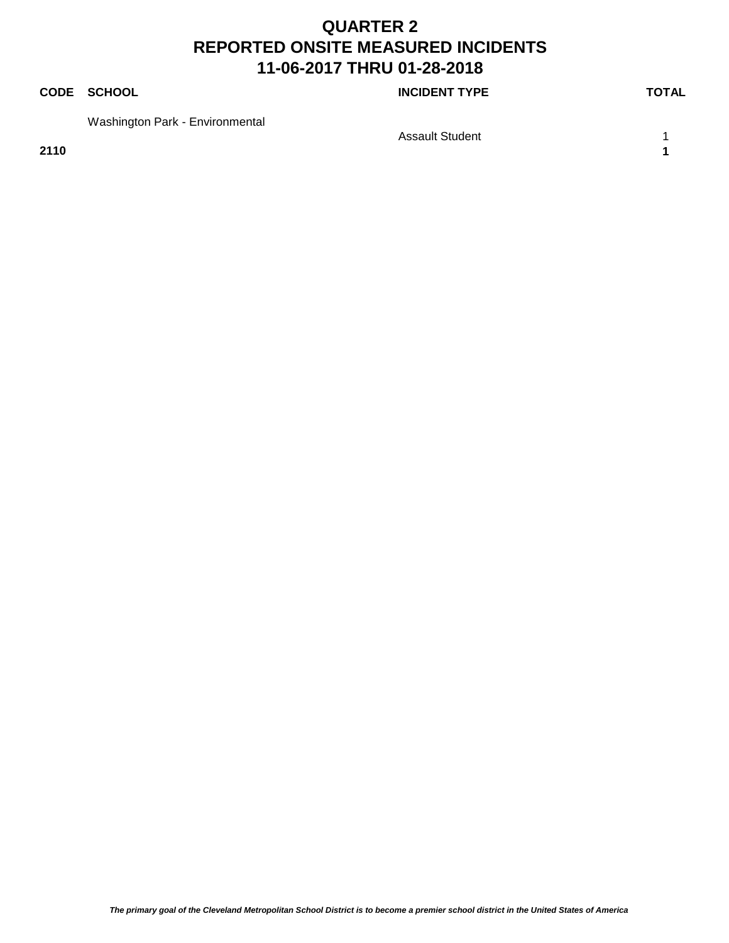#### **CODE SCHOOL CODE SCHOOL**

Washington Park - Environmental

Assault Student 1 1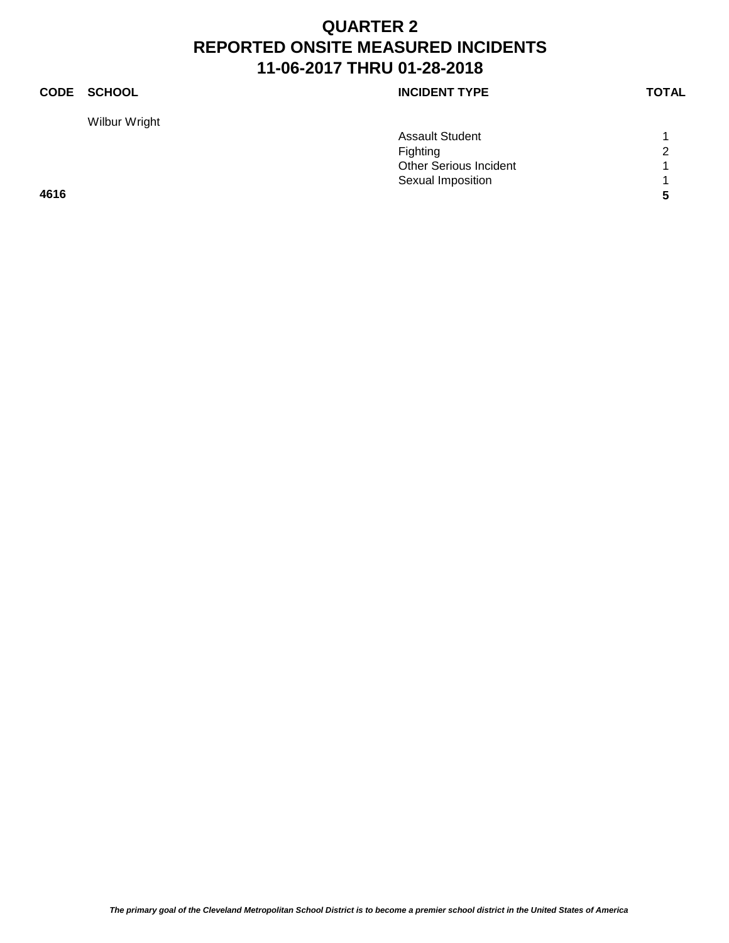Wilbur Wright

| <b>CODE</b> | SCHOOL | <b>INCIDENT TYPE</b> | <b>TOTAL</b> |
|-------------|--------|----------------------|--------------|
|             |        |                      |              |

|      | <b>Assault Student</b>        |                |
|------|-------------------------------|----------------|
|      | <b>Fighting</b>               | $\overline{2}$ |
|      | <b>Other Serious Incident</b> |                |
|      | Sexual Imposition             |                |
| 4616 |                               |                |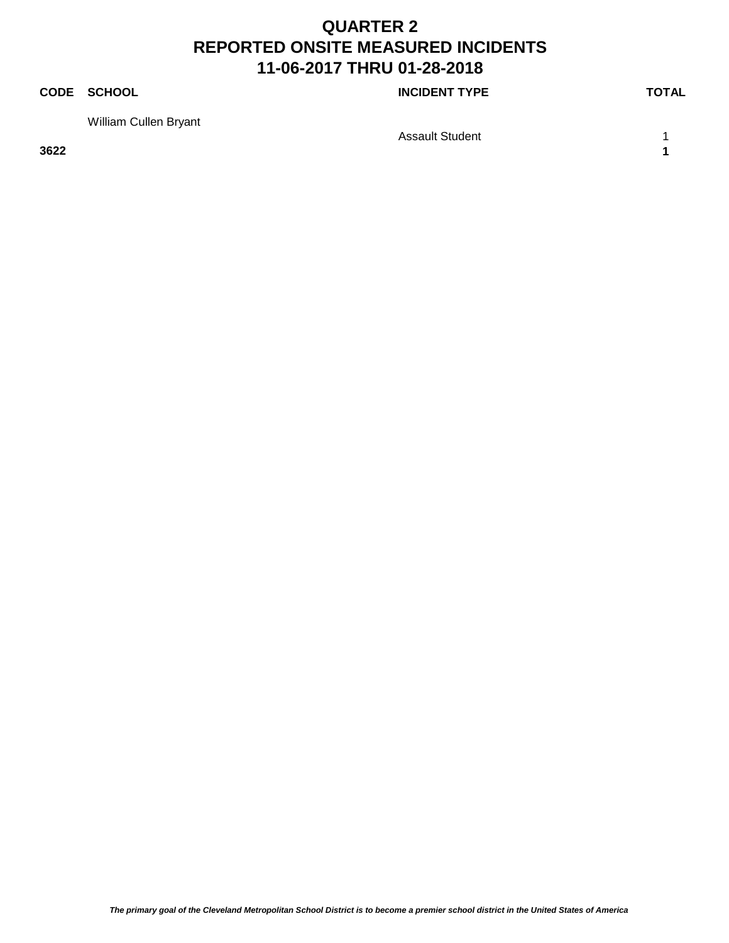#### **CODE SCHOOL CODE SCHOOL**

William Cullen Bryant

Assault Student 1 1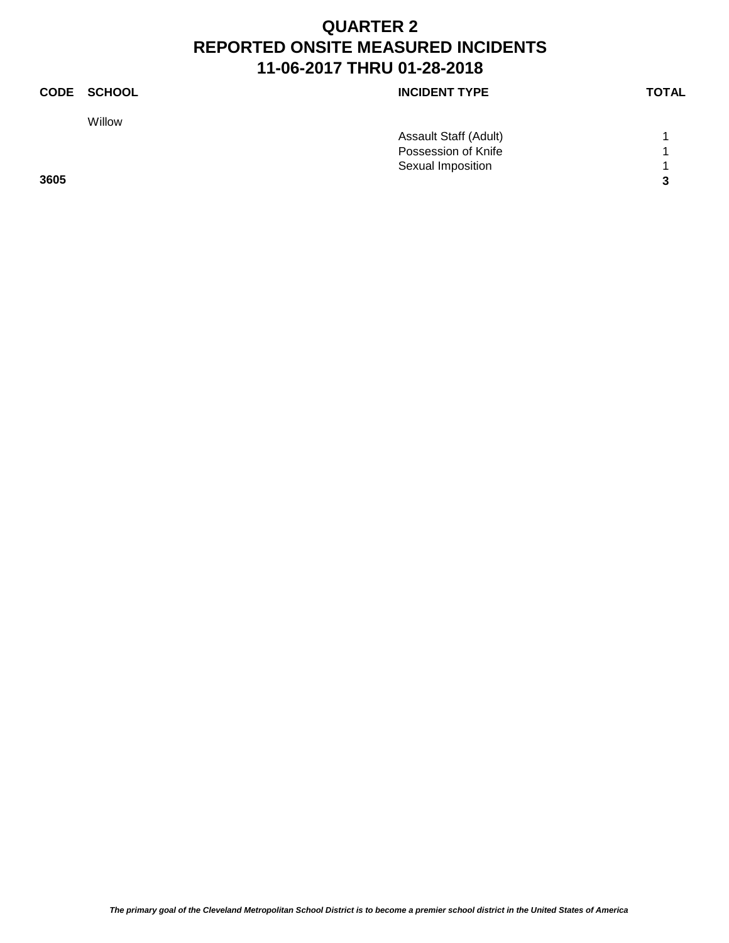Willow

**CODE SCHOOL CODE SCHOOL** 

| 3605 |                       | 3 |
|------|-----------------------|---|
|      | Sexual Imposition     |   |
|      | Possession of Knife   |   |
|      | Assault Staff (Adult) |   |
|      |                       |   |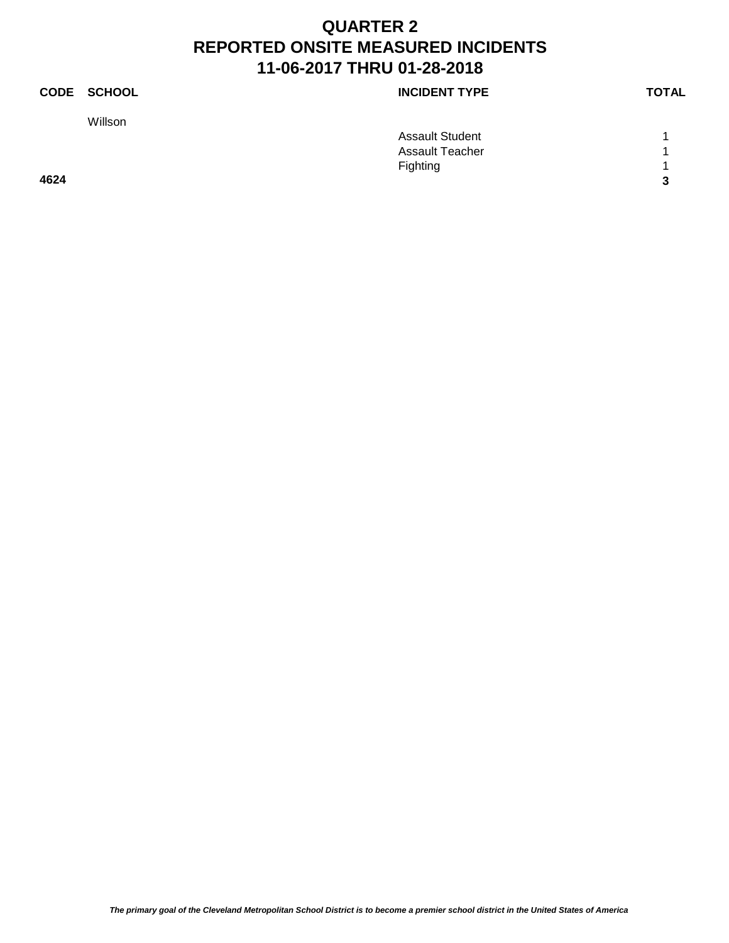|      | CODE SCHOOL | <b>INCIDENT TYPE</b>   | <b>TOTAL</b> |
|------|-------------|------------------------|--------------|
|      | Willson     |                        |              |
|      |             | <b>Assault Student</b> | и            |
|      |             | <b>Assault Teacher</b> | 1            |
|      |             | Fighting               | и            |
| 4624 |             |                        | 3            |
|      |             |                        |              |